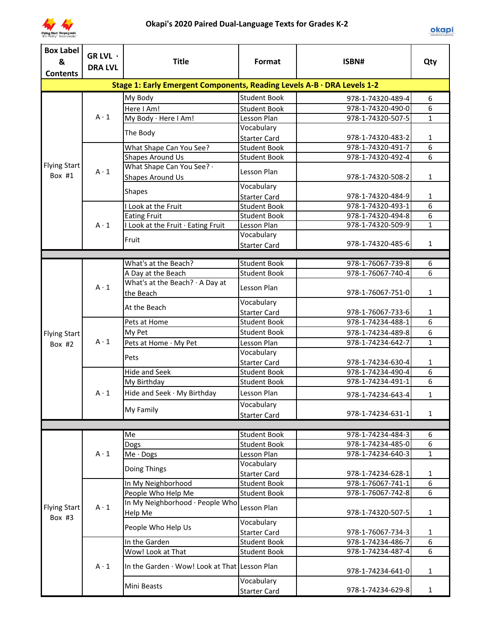

| <b>Box Label</b><br>& | GR LVL ·<br><b>DRA LVL</b> | <b>Title</b>                                                            | Format                            | ISBN#                                  | Qty               |
|-----------------------|----------------------------|-------------------------------------------------------------------------|-----------------------------------|----------------------------------------|-------------------|
| <b>Contents</b>       |                            |                                                                         |                                   |                                        |                   |
|                       |                            | Stage 1: Early Emergent Components, Reading Levels A-B · DRA Levels 1-2 |                                   |                                        |                   |
|                       |                            | My Body                                                                 | <b>Student Book</b>               | 978-1-74320-489-4                      | 6                 |
|                       |                            | Here I Am!                                                              | <b>Student Book</b>               | 978-1-74320-490-0                      | 6                 |
|                       | $A \cdot 1$                | My Body · Here I Am!                                                    | Lesson Plan                       | 978-1-74320-507-5                      | $\mathbf{1}$      |
|                       |                            | The Body                                                                | Vocabulary                        |                                        |                   |
|                       |                            |                                                                         | <b>Starter Card</b>               | 978-1-74320-483-2                      | $\mathbf{1}$      |
|                       |                            | What Shape Can You See?<br><b>Shapes Around Us</b>                      | <b>Student Book</b>               | 978-1-74320-491-7                      | 6<br>6            |
| <b>Flying Start</b>   |                            | What Shape Can You See? .                                               | <b>Student Book</b>               | 978-1-74320-492-4                      |                   |
| Box #1                | $A \cdot 1$                | Shapes Around Us                                                        | Lesson Plan                       | 978-1-74320-508-2                      | $\mathbf{1}$      |
|                       |                            | <b>Shapes</b>                                                           | Vocabulary                        |                                        |                   |
|                       |                            |                                                                         | <b>Starter Card</b>               | 978-1-74320-484-9                      | 1                 |
|                       |                            | I Look at the Fruit                                                     | <b>Student Book</b>               | 978-1-74320-493-1                      | 6                 |
|                       |                            | <b>Eating Fruit</b>                                                     | <b>Student Book</b>               | 978-1-74320-494-8<br>978-1-74320-509-9 | 6<br>$\mathbf{1}$ |
|                       | $A \cdot 1$                | I Look at the Fruit · Eating Fruit                                      | Lesson Plan<br>Vocabulary         |                                        |                   |
|                       |                            | Fruit                                                                   | <b>Starter Card</b>               | 978-1-74320-485-6                      | $\mathbf{1}$      |
|                       |                            |                                                                         |                                   |                                        |                   |
|                       |                            | What's at the Beach?                                                    | <b>Student Book</b>               | 978-1-76067-739-8                      | 6                 |
|                       |                            | A Day at the Beach                                                      | <b>Student Book</b>               | 978-1-76067-740-4                      | $\overline{6}$    |
|                       |                            | What's at the Beach? · A Day at                                         |                                   |                                        |                   |
|                       | $A \cdot 1$                | the Beach                                                               | Lesson Plan                       | 978-1-76067-751-0                      | $\mathbf{1}$      |
|                       |                            | At the Beach                                                            | Vocabulary                        |                                        |                   |
|                       |                            |                                                                         | <b>Starter Card</b>               | 978-1-76067-733-6                      | 1                 |
|                       |                            | Pets at Home                                                            | <b>Student Book</b>               | 978-1-74234-488-1                      | 6                 |
| <b>Flying Start</b>   |                            | My Pet                                                                  | <b>Student Book</b>               | 978-1-74234-489-8                      | 6                 |
| Box #2                | $A \cdot 1$                | Pets at Home · My Pet                                                   | Lesson Plan                       | 978-1-74234-642-7                      | $\mathbf{1}$      |
|                       |                            | Pets                                                                    | Vocabulary                        |                                        |                   |
|                       |                            |                                                                         | <b>Starter Card</b>               | 978-1-74234-630-4                      | $\mathbf{1}$      |
|                       |                            | <b>Hide and Seek</b>                                                    | <b>Student Book</b>               | 978-1-74234-490-4<br>978-1-74234-491-1 | 6<br>6            |
|                       |                            | My Birthday                                                             | <b>Student Book</b>               |                                        |                   |
|                       | $A \cdot 1$                | Hide and Seek · My Birthday                                             | Lesson Plan                       | 978-1-74234-643-4                      | 1                 |
|                       |                            | My Family                                                               | Vocabulary                        |                                        |                   |
|                       |                            |                                                                         | <b>Starter Card</b>               | 978-1-74234-631-1                      | 1                 |
|                       |                            | Me                                                                      | <b>Student Book</b>               | 978-1-74234-484-3                      | 6                 |
|                       |                            | Dogs                                                                    | <b>Student Book</b>               | 978-1-74234-485-0                      | 6                 |
|                       | $A \cdot 1$                | Me · Dogs                                                               | Lesson Plan                       | 978-1-74234-640-3                      | $\mathbf{1}$      |
|                       |                            |                                                                         | Vocabulary                        |                                        |                   |
|                       |                            | Doing Things                                                            | <b>Starter Card</b>               | 978-1-74234-628-1                      | 1                 |
|                       |                            | In My Neighborhood                                                      | <b>Student Book</b>               | 978-1-76067-741-1                      | 6                 |
|                       |                            | People Who Help Me                                                      | <b>Student Book</b>               | 978-1-76067-742-8                      | 6                 |
|                       |                            | In My Neighborhood · People Who                                         |                                   |                                        |                   |
| <b>Flying Start</b>   | $A \cdot 1$                | <b>Help Me</b>                                                          | Lesson Plan                       | 978-1-74320-507-5                      | $\mathbf{1}$      |
| Box #3                |                            | People Who Help Us                                                      | Vocabulary                        |                                        |                   |
|                       |                            |                                                                         | <b>Starter Card</b>               | 978-1-76067-734-3                      | 1                 |
|                       |                            | In the Garden                                                           | <b>Student Book</b>               | 978-1-74234-486-7                      | 6                 |
|                       |                            | Wow! Look at That                                                       | <b>Student Book</b>               | 978-1-74234-487-4                      | 6                 |
|                       | $A \cdot 1$                | In the Garden · Wow! Look at That Lesson Plan                           |                                   | 978-1-74234-641-0                      | $\mathbf{1}$      |
|                       |                            | Mini Beasts                                                             | Vocabulary<br><b>Starter Card</b> | 978-1-74234-629-8                      | $\mathbf{1}$      |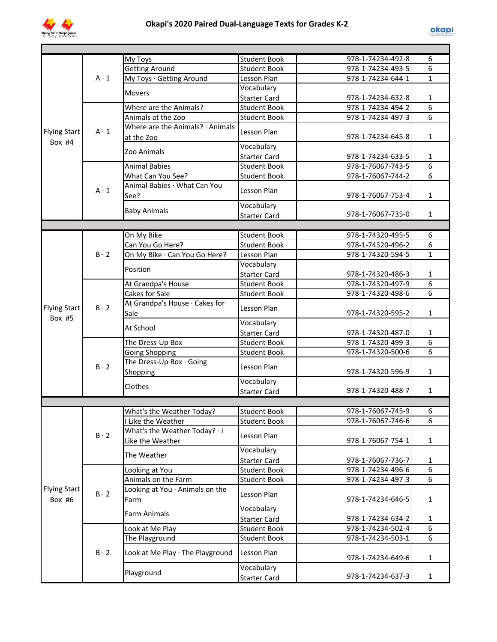

|                     |             | My Toys                          | <b>Student Book</b> | 978-1-74234-492-8 | 6              |
|---------------------|-------------|----------------------------------|---------------------|-------------------|----------------|
|                     |             | <b>Getting Around</b>            | <b>Student Book</b> | 978-1-74234-493-5 | 6              |
|                     | $A \cdot 1$ | My Toys · Getting Around         | Lesson Plan         | 978-1-74234-644-1 | $\mathbf{1}$   |
|                     |             | <b>Movers</b>                    | Vocabulary          |                   |                |
|                     |             |                                  | <b>Starter Card</b> | 978-1-74234-632-8 | $\mathbf{1}$   |
|                     |             | Where are the Animals?           | <b>Student Book</b> | 978-1-74234-494-2 | $\overline{6}$ |
|                     |             | Animals at the Zoo               | <b>Student Book</b> | 978-1-74234-497-3 | $\overline{6}$ |
| <b>Flying Start</b> | $A \cdot 1$ | Where are the Animals? · Animals | Lesson Plan         |                   |                |
| Box #4              |             | at the Zoo                       |                     | 978-1-74234-645-8 | $\mathbf{1}$   |
|                     |             | Zoo Animals                      | Vocabulary          |                   |                |
|                     |             |                                  | <b>Starter Card</b> | 978-1-74234-633-5 | 1              |
|                     |             | <b>Animal Babies</b>             | <b>Student Book</b> | 978-1-76067-743-5 | 6              |
|                     |             | What Can You See?                | <b>Student Book</b> | 978-1-76067-744-2 | $\overline{6}$ |
|                     | $A \cdot 1$ | Animal Babies · What Can You     | Lesson Plan         |                   |                |
|                     |             | See?                             |                     | 978-1-76067-753-4 | $\mathbf{1}$   |
|                     |             | <b>Baby Animals</b>              | Vocabulary          |                   |                |
|                     |             |                                  | <b>Starter Card</b> | 978-1-76067-735-0 | $\mathbf{1}$   |
|                     |             |                                  |                     |                   |                |
|                     |             | On My Bike                       | <b>Student Book</b> | 978-1-74320-495-5 | 6              |
|                     |             | Can You Go Here?                 | <b>Student Book</b> | 978-1-74320-496-2 | 6              |
|                     | $B \cdot 2$ | On My Bike · Can You Go Here?    | Lesson Plan         | 978-1-74320-594-5 | $\mathbf{1}$   |
|                     |             | Position                         | Vocabulary          |                   |                |
|                     |             |                                  | <b>Starter Card</b> | 978-1-74320-486-3 | $\mathbf 1$    |
|                     |             | At Grandpa's House               | <b>Student Book</b> | 978-1-74320-497-9 | $\overline{6}$ |
|                     |             | Cakes for Sale                   | <b>Student Book</b> | 978-1-74320-498-6 | $\overline{6}$ |
| <b>Flying Start</b> | $B \cdot 2$ | At Grandpa's House · Cakes for   | Lesson Plan         |                   |                |
| Box #5              |             | Sale                             |                     | 978-1-74320-595-2 | $\mathbf{1}$   |
|                     |             | At School                        | Vocabulary          |                   |                |
|                     |             |                                  | <b>Starter Card</b> | 978-1-74320-487-0 | $\mathbf{1}$   |
|                     |             | The Dress-Up Box                 | <b>Student Book</b> | 978-1-74320-499-3 | 6              |
|                     |             | <b>Going Shopping</b>            | <b>Student Book</b> | 978-1-74320-500-6 | 6              |
|                     | $B \cdot 2$ | The Dress-Up Box · Going         | Lesson Plan         |                   |                |
|                     |             | Shopping                         |                     | 978-1-74320-596-9 | $\mathbf{1}$   |
|                     |             | Clothes                          | Vocabulary          |                   |                |
|                     |             |                                  | <b>Starter Card</b> | 978-1-74320-488-7 | $\mathbf{1}$   |
|                     |             |                                  |                     |                   |                |
|                     |             | What's the Weather Today?        | <b>Student Book</b> | 978-1-76067-745-9 | $\overline{6}$ |
|                     |             | I Like the Weather               | <b>Student Book</b> | 978-1-76067-746-6 | 6              |
|                     | $B \cdot 2$ | What's the Weather Today? · I    | Lesson Plan         |                   |                |
|                     |             | Like the Weather                 |                     | 978-1-76067-754-1 | 1              |
|                     |             | The Weather                      | Vocabulary          |                   |                |
|                     |             |                                  | <b>Starter Card</b> | 978-1-76067-736-7 | 1              |
|                     |             | Looking at You                   | <b>Student Book</b> | 978-1-74234-496-6 | 6              |
|                     |             | Animals on the Farm              | <b>Student Book</b> | 978-1-74234-497-3 | 6              |
| <b>Flying Start</b> | $B \cdot 2$ | Looking at You Animals on the    | Lesson Plan         |                   |                |
| Box $#6$            |             | Farm                             |                     | 978-1-74234-646-5 | 1              |
|                     |             | Farm Animals                     | Vocabulary          |                   |                |
|                     |             |                                  | <b>Starter Card</b> | 978-1-74234-634-2 | 1              |
|                     |             | Look at Me Play                  | <b>Student Book</b> | 978-1-74234-502-4 | 6              |
|                     |             | The Playground                   | <b>Student Book</b> | 978-1-74234-503-1 | 6              |
|                     | $B \cdot 2$ | Look at Me Play · The Playground | Lesson Plan         | 978-1-74234-649-6 | 1              |
|                     |             | Playground                       | Vocabulary          |                   |                |
|                     |             |                                  | <b>Starter Card</b> | 978-1-74234-637-3 | $\mathbf{1}$   |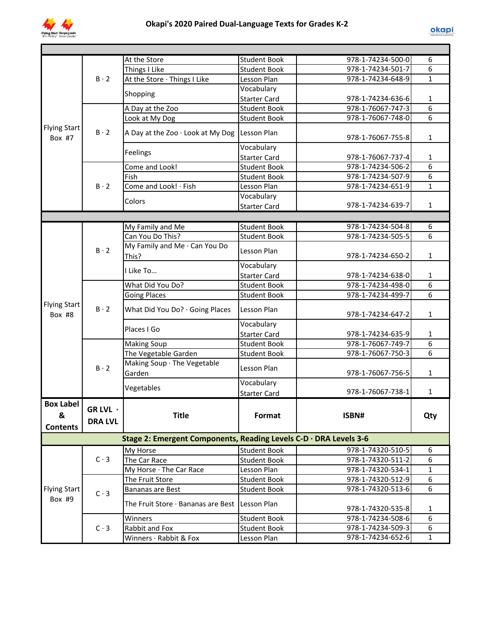

|                                          |                            | At the Store                                                      | Student Book        | 978-1-74234-500-0 | 6              |
|------------------------------------------|----------------------------|-------------------------------------------------------------------|---------------------|-------------------|----------------|
|                                          |                            | Things I Like                                                     | <b>Student Book</b> | 978-1-74234-501-7 | 6              |
|                                          | $B \cdot 2$                | At the Store · Things I Like                                      | Lesson Plan         | 978-1-74234-648-9 | $\mathbf{1}$   |
|                                          |                            | Shopping                                                          | Vocabulary          |                   |                |
|                                          |                            |                                                                   | <b>Starter Card</b> | 978-1-74234-636-6 | 1              |
|                                          |                            | A Day at the Zoo                                                  | <b>Student Book</b> | 978-1-76067-747-3 | 6              |
|                                          |                            | Look at My Dog                                                    | <b>Student Book</b> | 978-1-76067-748-0 | 6              |
| <b>Flying Start</b><br>Box #7            | $B \cdot 2$                | A Day at the Zoo · Look at My Dog                                 | Lesson Plan         | 978-1-76067-755-8 | $\mathbf{1}$   |
|                                          |                            | Feelings                                                          | Vocabulary          |                   |                |
|                                          |                            |                                                                   | <b>Starter Card</b> | 978-1-76067-737-4 | $\mathbf{1}$   |
|                                          |                            | Come and Look!                                                    | <b>Student Book</b> | 978-1-74234-506-2 | 6              |
|                                          |                            | Fish                                                              | <b>Student Book</b> | 978-1-74234-507-9 | 6              |
|                                          | $B \cdot 2$                | Come and Look! · Fish                                             | Lesson Plan         | 978-1-74234-651-9 | $\mathbf{1}$   |
|                                          |                            | Colors                                                            | Vocabulary          |                   |                |
|                                          |                            |                                                                   | <b>Starter Card</b> | 978-1-74234-639-7 | $\mathbf{1}$   |
|                                          |                            |                                                                   |                     |                   |                |
|                                          |                            | My Family and Me                                                  | <b>Student Book</b> | 978-1-74234-504-8 | 6              |
|                                          |                            | Can You Do This?                                                  | <b>Student Book</b> | 978-1-74234-505-5 | 6              |
|                                          | $B \cdot 2$                | My Family and Me · Can You Do<br>This?                            | Lesson Plan         | 978-1-74234-650-2 | $\mathbf{1}$   |
|                                          |                            | I Like To                                                         | Vocabulary          |                   |                |
|                                          |                            |                                                                   | <b>Starter Card</b> | 978-1-74234-638-0 | $\mathbf{1}$   |
|                                          |                            | What Did You Do?                                                  | <b>Student Book</b> | 978-1-74234-498-0 | 6              |
|                                          |                            | <b>Going Places</b>                                               | <b>Student Book</b> | 978-1-74234-499-7 | 6              |
| <b>Flying Start</b><br>Box #8            | $B \cdot 2$                | What Did You Do? · Going Places                                   | Lesson Plan         | 978-1-74234-647-2 | $\mathbf{1}$   |
|                                          |                            | Places I Go                                                       | Vocabulary          |                   |                |
|                                          |                            |                                                                   | <b>Starter Card</b> | 978-1-74234-635-9 | $\mathbf{1}$   |
|                                          |                            | <b>Making Soup</b>                                                | <b>Student Book</b> | 978-1-76067-749-7 | $\overline{6}$ |
|                                          |                            | The Vegetable Garden                                              | <b>Student Book</b> | 978-1-76067-750-3 | 6              |
|                                          | $B \cdot 2$                | Making Soup · The Vegetable<br>Garden                             | Lesson Plan         | 978-1-76067-756-5 | $\mathbf{1}$   |
|                                          |                            | Vegetables                                                        | Vocabulary          |                   |                |
|                                          |                            |                                                                   | <b>Starter Card</b> | 978-1-76067-738-1 | $\mathbf{1}$   |
| <b>Box Label</b><br>&<br><b>Contents</b> | GR LVL ·<br><b>DRA LVL</b> | Title                                                             | Format              | ISBN#             | Qty            |
|                                          |                            | Stage 2: Emergent Components, Reading Levels C-D · DRA Levels 3-6 |                     |                   |                |
|                                          |                            | My Horse                                                          | Student Book        | 978-1-74320-510-5 | 6              |
|                                          | $C \cdot 3$                | The Car Race                                                      | <b>Student Book</b> | 978-1-74320-511-2 | 6              |
|                                          |                            | My Horse · The Car Race                                           | Lesson Plan         | 978-1-74320-534-1 | $\mathbf{1}$   |
|                                          |                            | The Fruit Store                                                   | <b>Student Book</b> | 978-1-74320-512-9 | 6              |
| <b>Flying Start</b>                      |                            | Bananas are Best                                                  | <b>Student Book</b> | 978-1-74320-513-6 | 6              |
| Box #9                                   | $C \cdot 3$                | The Fruit Store · Bananas are Best Lesson Plan                    |                     | 978-1-74320-535-8 | 1              |
|                                          |                            | Winners                                                           | <b>Student Book</b> | 978-1-74234-508-6 | 6              |
|                                          | $C \cdot 3$                | Rabbit and Fox                                                    | <b>Student Book</b> | 978-1-74234-509-3 | 6              |
|                                          |                            | Winners · Rabbit & Fox                                            | Lesson Plan         | 978-1-74234-652-6 | $\mathbf{1}$   |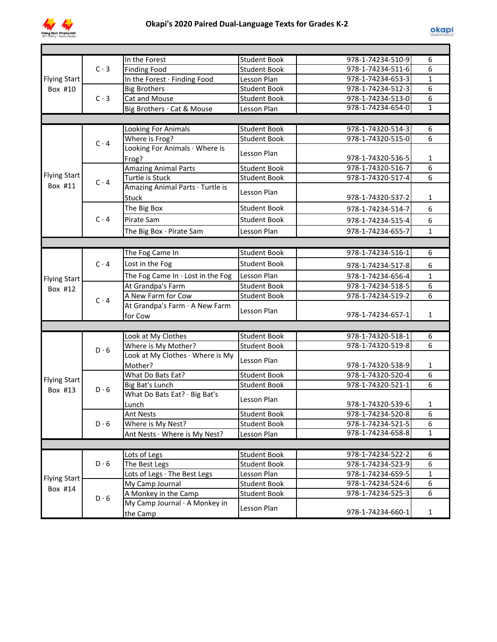

|                     |             | In the Forest                           | <b>Student Book</b>                 | 978-1-74234-510-9                      | 6              |
|---------------------|-------------|-----------------------------------------|-------------------------------------|----------------------------------------|----------------|
|                     | $C \cdot 3$ | <b>Finding Food</b>                     | <b>Student Book</b>                 | 978-1-74234-511-6                      | 6              |
| <b>Flying Start</b> |             | In the Forest · Finding Food            | Lesson Plan                         | 978-1-74234-653-3                      | $\mathbf{1}$   |
| Box #10             |             | <b>Big Brothers</b>                     | <b>Student Book</b>                 | 978-1-74234-512-3                      | 6              |
|                     | $C \cdot 3$ | Cat and Mouse                           | <b>Student Book</b>                 | 978-1-74234-513-0                      | $\overline{6}$ |
|                     |             | Big Brothers · Cat & Mouse              | Lesson Plan                         | 978-1-74234-654-0                      | $\overline{1}$ |
|                     |             |                                         |                                     |                                        |                |
|                     |             | Looking For Animals                     | <b>Student Book</b>                 | 978-1-74320-514-3                      | 6              |
|                     |             | Where is Frog?                          | <b>Student Book</b>                 | 978-1-74320-515-0                      | 6              |
|                     | $C \cdot 4$ | Looking For Animals · Where is          |                                     |                                        |                |
|                     |             | Frog?                                   | Lesson Plan                         | 978-1-74320-536-5                      | 1              |
|                     |             | <b>Amazing Animal Parts</b>             | <b>Student Book</b>                 | 978-1-74320-516-7                      | 6              |
| <b>Flying Start</b> |             | Turtle is Stuck                         | <b>Student Book</b>                 | 978-1-74320-517-4                      | 6              |
| Box #11             | $C \cdot 4$ | Amazing Animal Parts · Turtle is        |                                     |                                        |                |
|                     |             | <b>Stuck</b>                            | Lesson Plan                         | 978-1-74320-537-2                      | $\mathbf{1}$   |
|                     |             | The Big Box                             | <b>Student Book</b>                 |                                        | 6              |
|                     |             |                                         |                                     | 978-1-74234-514-7                      |                |
|                     | $C \cdot 4$ | Pirate Sam                              | <b>Student Book</b>                 | 978-1-74234-515-4                      | 6              |
|                     |             | The Big Box · Pirate Sam                | Lesson Plan                         | 978-1-74234-655-7                      | $\mathbf{1}$   |
|                     |             |                                         |                                     |                                        |                |
|                     |             | The Fog Came In                         | <b>Student Book</b>                 | 978-1-74234-516-1                      | 6              |
|                     | $C \cdot 4$ | Lost in the Fog                         | <b>Student Book</b>                 | 978-1-74234-517-8                      | 6              |
| <b>Flying Start</b> |             | The Fog Came In $\cdot$ Lost in the Fog | Lesson Plan                         | 978-1-74234-656-4                      | $\mathbf{1}$   |
|                     |             | At Grandpa's Farm                       | <b>Student Book</b>                 | 978-1-74234-518-5                      | 6              |
| Box #12             |             | A New Farm for Cow                      | <b>Student Book</b>                 | 978-1-74234-519-2                      | 6              |
|                     | $C \cdot 4$ | At Grandpa's Farm · A New Farm          |                                     |                                        |                |
|                     |             | for Cow                                 | Lesson Plan                         | 978-1-74234-657-1                      | $\mathbf{1}$   |
|                     |             |                                         |                                     |                                        |                |
|                     |             | Look at My Clothes                      | <b>Student Book</b>                 | 978-1-74320-518-1                      | 6              |
|                     |             | Where is My Mother?                     | <b>Student Book</b>                 | 978-1-74320-519-8                      | 6              |
|                     | $D \cdot 6$ | Look at My Clothes · Where is My        |                                     |                                        |                |
|                     |             | Mother?                                 | Lesson Plan                         | 978-1-74320-538-9                      | 1              |
|                     |             | What Do Bats Eat?                       | <b>Student Book</b>                 | 978-1-74320-520-4                      | $\overline{6}$ |
| <b>Flying Start</b> |             | Big Bat's Lunch                         | <b>Student Book</b>                 | 978-1-74320-521-1                      | 6              |
| Box #13             | $D \cdot 6$ | What Do Bats Eat? · Big Bat's           |                                     |                                        |                |
|                     |             | Lunch                                   | Lesson Plan                         | 978-1-74320-539-6                      | 1              |
|                     |             |                                         |                                     |                                        |                |
|                     | $D \cdot 6$ | Ant Nests<br>Where is My Nest?          | Student Book<br><b>Student Book</b> | 978-1-74234-520-8<br>978-1-74234-521-5 | 6<br>6         |
|                     |             | Ant Nests · Where is My Nest?           | Lesson Plan                         | 978-1-74234-658-8                      | $\mathbf{1}$   |
|                     |             |                                         |                                     |                                        |                |
|                     |             |                                         |                                     |                                        |                |
|                     |             | Lots of Legs                            | <b>Student Book</b>                 | 978-1-74234-522-2                      | 6              |
|                     | $D \cdot 6$ | The Best Legs                           | <b>Student Book</b>                 | 978-1-74234-523-9                      | 6              |
| <b>Flying Start</b> |             | Lots of Legs · The Best Legs            | Lesson Plan                         | 978-1-74234-659-5                      | $\mathbf{1}$   |
| Box #14             |             | My Camp Journal                         | <b>Student Book</b>                 | 978-1-74234-524-6                      | 6              |
|                     | $D \cdot 6$ | A Monkey in the Camp                    | <b>Student Book</b>                 | 978-1-74234-525-3                      | 6              |
|                     |             | My Camp Journal · A Monkey in           | Lesson Plan                         |                                        |                |
|                     |             | the Camp                                |                                     | 978-1-74234-660-1                      | $\mathbf{1}$   |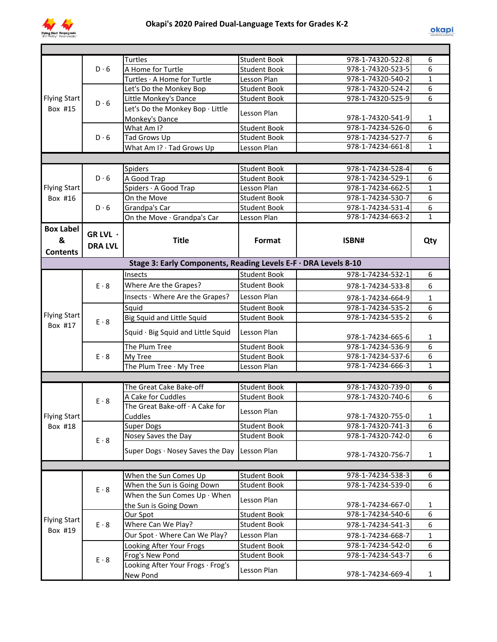

|                     |                | <b>Turtles</b>                                                  | <b>Student Book</b> | 978-1-74320-522-8 | 6              |
|---------------------|----------------|-----------------------------------------------------------------|---------------------|-------------------|----------------|
|                     | D.6            | A Home for Turtle                                               | Student Book        | 978-1-74320-523-5 | 6              |
|                     |                | Turtles · A Home for Turtle                                     | Lesson Plan         | 978-1-74320-540-2 | $\mathbf{1}$   |
|                     |                | Let's Do the Monkey Bop                                         | <b>Student Book</b> | 978-1-74320-524-2 | 6              |
| <b>Flying Start</b> | $D \cdot 6$    | Little Monkey's Dance                                           | <b>Student Book</b> | 978-1-74320-525-9 | 6              |
| Box #15             |                | Let's Do the Monkey Bop · Little                                | Lesson Plan         |                   |                |
|                     |                | Monkey's Dance                                                  |                     | 978-1-74320-541-9 | 1              |
|                     |                | What Am I?                                                      | <b>Student Book</b> | 978-1-74234-526-0 | $\overline{6}$ |
|                     | $D \cdot 6$    | Tad Grows Up                                                    | <b>Student Book</b> | 978-1-74234-527-7 | $\overline{6}$ |
|                     |                | What Am I? · Tad Grows Up                                       | Lesson Plan         | 978-1-74234-661-8 | $\overline{1}$ |
|                     |                |                                                                 |                     |                   |                |
|                     |                | Spiders                                                         | <b>Student Book</b> | 978-1-74234-528-4 | 6              |
|                     | $D \cdot 6$    | A Good Trap                                                     | <b>Student Book</b> | 978-1-74234-529-1 | 6              |
| <b>Flying Start</b> |                | Spiders · A Good Trap                                           | Lesson Plan         | 978-1-74234-662-5 | $\mathbf{1}$   |
| Box #16             |                | On the Move                                                     | <b>Student Book</b> | 978-1-74234-530-7 | 6              |
|                     | $D \cdot 6$    | Grandpa's Car                                                   | <b>Student Book</b> | 978-1-74234-531-4 | 6              |
|                     |                | On the Move · Grandpa's Car                                     | Lesson Plan         | 978-1-74234-663-2 | $\mathbf{1}$   |
| <b>Box Label</b>    | GR LVL ·       |                                                                 |                     |                   |                |
| &                   |                | <b>Title</b>                                                    | Format              | ISBN#             | Qty            |
| <b>Contents</b>     | <b>DRA LVL</b> |                                                                 |                     |                   |                |
|                     |                | Stage 3: Early Components, Reading Levels E-F · DRA Levels 8-10 |                     |                   |                |
|                     |                | Insects                                                         | <b>Student Book</b> | 978-1-74234-532-1 | 6              |
|                     | $E \cdot 8$    |                                                                 | <b>Student Book</b> |                   |                |
|                     |                | Where Are the Grapes?                                           |                     | 978-1-74234-533-8 | 6              |
|                     |                | Insects · Where Are the Grapes?                                 | Lesson Plan         | 978-1-74234-664-9 | $\mathbf{1}$   |
| <b>Flying Start</b> |                | Squid                                                           | <b>Student Book</b> | 978-1-74234-535-2 | $\overline{6}$ |
| Box #17             | $E \cdot 8$    | <b>Big Squid and Little Squid</b>                               | <b>Student Book</b> | 978-1-74234-535-2 | $\overline{6}$ |
|                     |                | Squid · Big Squid and Little Squid                              | Lesson Plan         | 978-1-74234-665-6 | 1              |
|                     |                | The Plum Tree                                                   | <b>Student Book</b> | 978-1-74234-536-9 | 6              |
|                     | $E \cdot 8$    | My Tree                                                         | <b>Student Book</b> | 978-1-74234-537-6 | $\overline{6}$ |
|                     |                | The Plum Tree · My Tree                                         | Lesson Plan         | 978-1-74234-666-3 | $\overline{1}$ |
|                     |                |                                                                 |                     |                   |                |
|                     |                | The Great Cake Bake-off                                         | <b>Student Book</b> | 978-1-74320-739-0 | 6              |
|                     |                | A Cake for Cuddles                                              | <b>Student Book</b> | 978-1-74320-740-6 | 6              |
|                     | $E \cdot 8$    | The Great Bake-off · A Cake for                                 |                     |                   |                |
| Flying Start        |                | Cuddles                                                         | Lesson Plan         | 978-1-74320-755-0 | 1              |
| Box #18             |                | <b>Super Dogs</b>                                               | <b>Student Book</b> | 978-1-74320-741-3 | 6              |
|                     | $E \cdot 8$    | Nosey Saves the Day                                             | <b>Student Book</b> | 978-1-74320-742-0 | 6              |
|                     |                | Super Dogs · Nosey Saves the Day                                | Lesson Plan         |                   |                |
|                     |                |                                                                 |                     | 978-1-74320-756-7 | $\mathbf{1}$   |
|                     |                |                                                                 |                     |                   |                |
|                     |                | When the Sun Comes Up                                           | <b>Student Book</b> | 978-1-74234-538-3 | 6              |
|                     | $E \cdot 8$    | When the Sun is Going Down                                      | <b>Student Book</b> | 978-1-74234-539-0 | 6              |
|                     |                | When the Sun Comes $Up \cdot When$                              | Lesson Plan         |                   |                |
|                     |                | the Sun is Going Down                                           |                     | 978-1-74234-667-0 | $\mathbf{1}$   |
| <b>Flying Start</b> |                | Our Spot                                                        | <b>Student Book</b> | 978-1-74234-540-6 | 6              |
| Box #19             | $E \cdot 8$    | Where Can We Play?                                              | Student Book        | 978-1-74234-541-3 | 6              |
|                     |                | Our Spot · Where Can We Play?                                   | Lesson Plan         | 978-1-74234-668-7 | $\mathbf 1$    |
|                     |                | Looking After Your Frogs                                        | <b>Student Book</b> | 978-1-74234-542-0 | 6              |
|                     | $E \cdot 8$    | Frog's New Pond                                                 | <b>Student Book</b> | 978-1-74234-543-7 | 6              |
|                     |                | Looking After Your Frogs · Frog's<br>New Pond                   | Lesson Plan         | 978-1-74234-669-4 | $\mathbf{1}$   |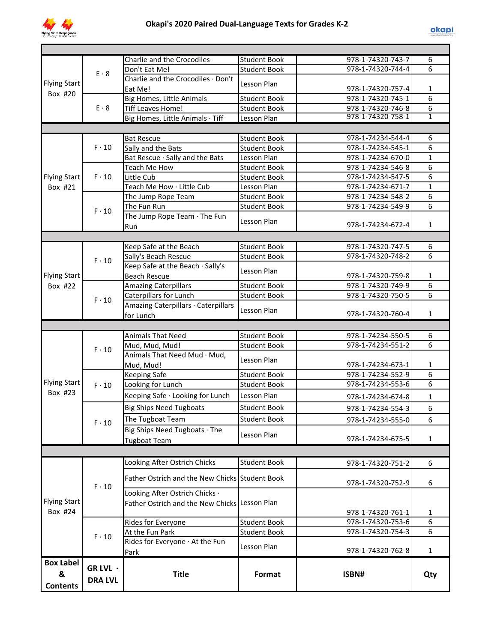

|                                |                                    | Charlie and the Crocodiles                     | <b>Student Book</b> | 978-1-74320-743-7 | 6              |
|--------------------------------|------------------------------------|------------------------------------------------|---------------------|-------------------|----------------|
| <b>Flying Start</b><br>Box #20 | $E \cdot 8$                        | Don't Eat Me!                                  | <b>Student Book</b> | 978-1-74320-744-4 | 6              |
|                                |                                    | Charlie and the Crocodiles · Don't             | Lesson Plan         |                   |                |
|                                |                                    | Eat Me!                                        |                     | 978-1-74320-757-4 | $\mathbf{1}$   |
|                                |                                    | <b>Big Homes, Little Animals</b>               | <b>Student Book</b> | 978-1-74320-745-1 | $\overline{6}$ |
|                                | $E \cdot 8$                        | <b>Tiff Leaves Home!</b>                       | <b>Student Book</b> | 978-1-74320-746-8 | 6              |
|                                |                                    | Big Homes, Little Animals · Tiff               | Lesson Plan         | 978-1-74320-758-1 | 1              |
|                                |                                    |                                                |                     |                   |                |
|                                |                                    | <b>Bat Rescue</b>                              | <b>Student Book</b> | 978-1-74234-544-4 | 6              |
|                                | $F \cdot 10$<br>$F \cdot 10$       | Sally and the Bats                             | <b>Student Book</b> | 978-1-74234-545-1 | 6              |
|                                |                                    | Bat Rescue · Sally and the Bats                | Lesson Plan         | 978-1-74234-670-0 | $\mathbf{1}$   |
|                                |                                    | <b>Teach Me How</b>                            | <b>Student Book</b> | 978-1-74234-546-8 | 6              |
| <b>Flying Start</b>            |                                    | Little Cub                                     | <b>Student Book</b> | 978-1-74234-547-5 | 6              |
| Box #21<br>$F \cdot 10$        |                                    | Teach Me How · Little Cub                      | Lesson Plan         | 978-1-74234-671-7 | $\mathbf{1}$   |
|                                | The Jump Rope Team                 | <b>Student Book</b>                            | 978-1-74234-548-2   | 6                 |                |
|                                | The Fun Run                        | <b>Student Book</b>                            | 978-1-74234-549-9   | 6                 |                |
|                                | The Jump Rope Team $\cdot$ The Fun | Lesson Plan                                    |                     |                   |                |
|                                | Run                                |                                                | 978-1-74234-672-4   | $\mathbf{1}$      |                |
|                                |                                    |                                                |                     |                   |                |
|                                |                                    | Keep Safe at the Beach                         | <b>Student Book</b> | 978-1-74320-747-5 | 6              |
|                                |                                    | Sally's Beach Rescue                           | <b>Student Book</b> | 978-1-74320-748-2 | 6              |
|                                | $F \cdot 10$                       | Keep Safe at the Beach · Sally's               |                     |                   |                |
| <b>Flying Start</b>            |                                    | <b>Beach Rescue</b>                            | Lesson Plan         | 978-1-74320-759-8 | $\mathbf{1}$   |
| Box #22                        |                                    | <b>Amazing Caterpillars</b>                    | <b>Student Book</b> | 978-1-74320-749-9 | 6              |
|                                | $F \cdot 10$                       | Caterpillars for Lunch                         | <b>Student Book</b> | 978-1-74320-750-5 | 6              |
|                                |                                    | Amazing Caterpillars · Caterpillars            |                     |                   |                |
|                                |                                    | for Lunch                                      | Lesson Plan         | 978-1-74320-760-4 | $\mathbf{1}$   |
|                                |                                    |                                                |                     |                   |                |
|                                |                                    |                                                |                     |                   |                |
|                                |                                    | <b>Animals That Need</b>                       | <b>Student Book</b> | 978-1-74234-550-5 | 6              |
|                                |                                    | Mud, Mud, Mud!                                 | <b>Student Book</b> | 978-1-74234-551-2 | 6              |
|                                | $F \cdot 10$                       | Animals That Need Mud · Mud,                   |                     |                   |                |
|                                |                                    | Mud, Mud!                                      | Lesson Plan         | 978-1-74234-673-1 | 1              |
|                                |                                    |                                                | <b>Student Book</b> | 978-1-74234-552-9 | 6              |
|                                | $F \cdot 10$                       | <b>Keeping Safe</b><br>Looking for Lunch       | <b>Student Book</b> | 978-1-74234-553-6 | 6              |
| <b>Flying Start</b><br>Box #23 |                                    |                                                | Lesson Plan         |                   |                |
|                                |                                    | Keeping Safe · Looking for Lunch               |                     | 978-1-74234-674-8 | $\mathbf{1}$   |
|                                |                                    | <b>Big Ships Need Tugboats</b>                 | <b>Student Book</b> | 978-1-74234-554-3 | 6              |
|                                | $F \cdot 10$                       | The Tugboat Team                               | <b>Student Book</b> | 978-1-74234-555-0 | 6              |
|                                |                                    | Big Ships Need Tugboats · The                  | Lesson Plan         |                   |                |
|                                |                                    | <b>Tugboat Team</b>                            |                     | 978-1-74234-675-5 | $\mathbf{1}$   |
|                                |                                    |                                                |                     |                   |                |
|                                |                                    | Looking After Ostrich Chicks                   | <b>Student Book</b> | 978-1-74320-751-2 | 6              |
|                                |                                    | Father Ostrich and the New Chicks Student Book |                     |                   |                |
|                                | $F \cdot 10$                       |                                                |                     | 978-1-74320-752-9 | 6              |
|                                |                                    | Looking After Ostrich Chicks ·                 |                     |                   |                |
| <b>Flying Start</b>            |                                    | <b>Father Ostrich and the New Chicks</b>       | Lesson Plan         |                   |                |
| Box #24                        |                                    |                                                |                     | 978-1-74320-761-1 | 1              |
|                                |                                    | Rides for Everyone                             | <b>Student Book</b> | 978-1-74320-753-6 | 6              |
|                                | $F \cdot 10$                       | At the Fun Park                                | <b>Student Book</b> | 978-1-74320-754-3 | 6              |
|                                |                                    | Rides for Everyone At the Fun                  | Lesson Plan         |                   |                |
|                                |                                    | Park                                           |                     | 978-1-74320-762-8 | $\mathbf{1}$   |
| <b>Box Label</b>               | GR LVL ·                           |                                                |                     |                   |                |
| &                              | <b>DRA LVL</b>                     | <b>Title</b>                                   | Format              | ISBN#             | Qty            |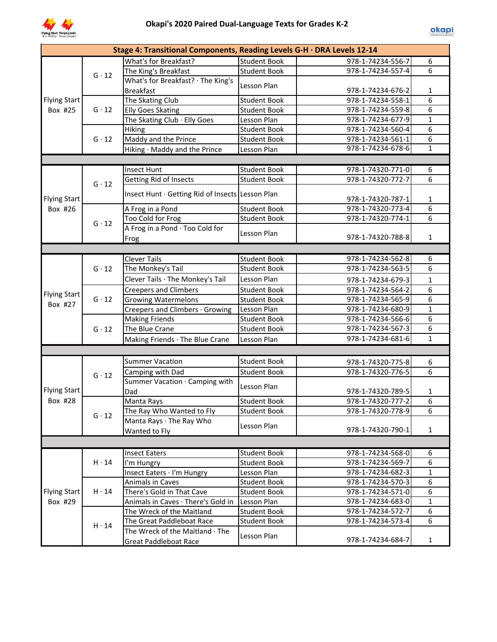

|                     |                                                  | Stage 4: Transitional Components, Reading Levels G-H · DRA Levels 12-14 |                     |                                        |                |
|---------------------|--------------------------------------------------|-------------------------------------------------------------------------|---------------------|----------------------------------------|----------------|
|                     |                                                  | What's for Breakfast?                                                   | <b>Student Book</b> | 978-1-74234-556-7                      | 6              |
|                     | $G \cdot 12$                                     | The King's Breakfast                                                    | <b>Student Book</b> | 978-1-74234-557-4                      | $\overline{6}$ |
|                     |                                                  | What's for Breakfast? · The King's                                      |                     |                                        |                |
|                     |                                                  | <b>Breakfast</b>                                                        | Lesson Plan         | 978-1-74234-676-2                      | 1              |
| Flying Start        |                                                  | The Skating Club                                                        | <b>Student Book</b> | 978-1-74234-558-1                      | 6              |
| Box #25             | $G \cdot 12$                                     | <b>Elly Goes Skating</b>                                                | <b>Student Book</b> | 978-1-74234-559-8                      | 6              |
|                     |                                                  | The Skating Club · Elly Goes                                            | Lesson Plan         | 978-1-74234-677-9                      | $\mathbf{1}$   |
|                     |                                                  | <b>Hiking</b>                                                           | <b>Student Book</b> | 978-1-74234-560-4                      | 6              |
|                     | $G \cdot 12$                                     | Maddy and the Prince                                                    | <b>Student Book</b> | 978-1-74234-561-1                      | 6              |
|                     |                                                  | Hiking · Maddy and the Prince                                           | Lesson Plan         | 978-1-74234-678-6                      | $\mathbf{1}$   |
|                     |                                                  |                                                                         |                     |                                        |                |
|                     |                                                  | <b>Insect Hunt</b>                                                      | <b>Student Book</b> | 978-1-74320-771-0                      | 6              |
|                     |                                                  | Getting Rid of Insects                                                  | <b>Student Book</b> | 978-1-74320-772-7                      | 6              |
|                     | $G \cdot 12$                                     |                                                                         |                     |                                        |                |
| <b>Flying Start</b> | Insect Hunt · Getting Rid of Insects Lesson Plan |                                                                         | 978-1-74320-787-1   | $\mathbf{1}$                           |                |
| Box #26             |                                                  | A Frog in a Pond                                                        | <b>Student Book</b> | 978-1-74320-773-4                      | 6              |
|                     | $G \cdot 12$                                     | Too Cold for Frog                                                       | <b>Student Book</b> | 978-1-74320-774-1                      | 6              |
|                     |                                                  | A Frog in a Pond · Too Cold for                                         |                     |                                        |                |
|                     |                                                  | Frog                                                                    | Lesson Plan         | 978-1-74320-788-8                      | $\mathbf{1}$   |
|                     |                                                  |                                                                         |                     |                                        |                |
|                     |                                                  | <b>Clever Tails</b>                                                     | <b>Student Book</b> | 978-1-74234-562-8                      | 6              |
|                     | $G \cdot 12$                                     | The Monkey's Tail                                                       | <b>Student Book</b> | 978-1-74234-563-5                      | 6              |
|                     |                                                  | Clever Tails · The Monkey's Tail                                        | Lesson Plan         | 978-1-74234-679-3                      | $\mathbf{1}$   |
|                     |                                                  | <b>Creepers and Climbers</b>                                            | <b>Student Book</b> | 978-1-74234-564-2                      | 6              |
| <b>Flying Start</b> | $G \cdot 12$                                     | <b>Growing Watermelons</b>                                              | <b>Student Book</b> | 978-1-74234-565-9                      | 6              |
| Box #27             |                                                  | Creepers and Climbers · Growing                                         | Lesson Plan         | 978-1-74234-680-9                      | $\mathbf{1}$   |
|                     |                                                  | <b>Making Friends</b>                                                   | <b>Student Book</b> | 978-1-74234-566-6                      | $\overline{6}$ |
|                     | $G \cdot 12$                                     | The Blue Crane                                                          | <b>Student Book</b> | 978-1-74234-567-3                      | $\overline{6}$ |
|                     |                                                  | Making Friends · The Blue Crane                                         | Lesson Plan         | 978-1-74234-681-6                      | $\mathbf{1}$   |
|                     |                                                  |                                                                         |                     |                                        |                |
|                     |                                                  | <b>Summer Vacation</b>                                                  | <b>Student Book</b> |                                        |                |
|                     |                                                  |                                                                         |                     | 978-1-74320-775-8<br>978-1-74320-776-5 | 6<br>6         |
|                     | $G \cdot 12$                                     | Camping with Dad<br>Summer Vacation · Camping with                      | <b>Student Book</b> |                                        |                |
| <b>Flying Start</b> |                                                  |                                                                         | Lesson Plan         | 978-1-74320-789-5                      |                |
| Box #28             |                                                  | Dad<br>Manta Rays                                                       | <b>Student Book</b> | 978-1-74320-777-2                      | 1<br>6         |
|                     |                                                  | The Ray Who Wanted to Fly                                               | <b>Student Book</b> | 978-1-74320-778-9                      | $\overline{6}$ |
|                     | $G \cdot 12$                                     | Manta Rays · The Ray Who                                                |                     |                                        |                |
|                     |                                                  |                                                                         | Lesson Plan         | 978-1-74320-790-1                      | $\mathbf{1}$   |
|                     |                                                  | Wanted to Fly                                                           |                     |                                        |                |
|                     |                                                  |                                                                         |                     |                                        |                |
|                     |                                                  | <b>Insect Eaters</b>                                                    | <b>Student Book</b> | 978-1-74234-568-0                      | 6              |
|                     | $H \cdot 14$                                     | I'm Hungry                                                              | <b>Student Book</b> | 978-1-74234-569-7                      | 6              |
|                     |                                                  | Insect Eaters · I'm Hungry                                              | Lesson Plan         | 978-1-74234-682-3                      | $\mathbf{1}$   |
|                     |                                                  | <b>Animals in Caves</b>                                                 | <b>Student Book</b> | 978-1-74234-570-3                      | 6              |
| <b>Flying Start</b> | $H \cdot 14$                                     | There's Gold in That Cave                                               | <b>Student Book</b> | 978-1-74234-571-0                      | 6              |
| Box #29             |                                                  | Animals in Caves · There's Gold in                                      | Lesson Plan         | 978-1-74234-683-0                      | $\mathbf{1}$   |
|                     |                                                  | The Wreck of the Maitland                                               | <b>Student Book</b> | 978-1-74234-572-7                      | 6              |
|                     | $H \cdot 14$                                     | The Great Paddleboat Race                                               | <b>Student Book</b> | 978-1-74234-573-4                      | 6              |
|                     |                                                  | The Wreck of the Maitland · The                                         | Lesson Plan         | 978-1-74234-684-7                      | $\mathbf{1}$   |
|                     |                                                  | <b>Great Paddleboat Race</b>                                            |                     |                                        |                |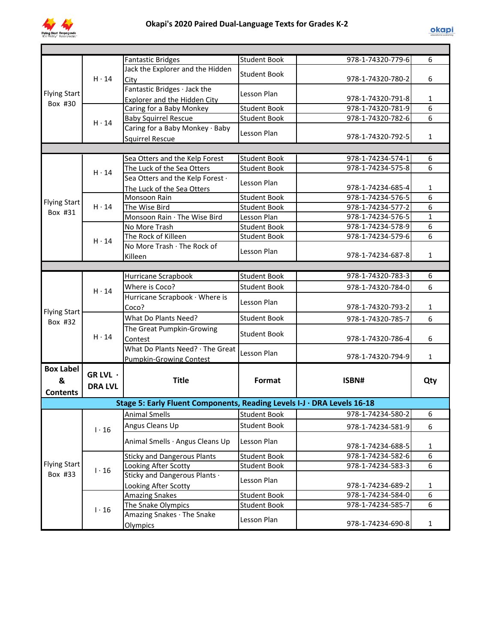

|                     |                                                                                                                    | <b>Fantastic Bridges</b>                                                | <b>Student Book</b> | 978-1-74320-779-6 | 6              |
|---------------------|--------------------------------------------------------------------------------------------------------------------|-------------------------------------------------------------------------|---------------------|-------------------|----------------|
|                     |                                                                                                                    | Jack the Explorer and the Hidden                                        | <b>Student Book</b> |                   |                |
|                     |                                                                                                                    | City                                                                    |                     | 978-1-74320-780-2 | 6              |
|                     | $H \cdot 14$<br>Flying Start<br>Box #30<br>$H \cdot 14$<br>$H \cdot 14$<br>$H \cdot 14$<br>Box #31<br>$H \cdot 14$ | Fantastic Bridges · Jack the                                            | Lesson Plan         |                   |                |
|                     |                                                                                                                    | Explorer and the Hidden City                                            |                     | 978-1-74320-791-8 | 1              |
|                     |                                                                                                                    | Caring for a Baby Monkey                                                | <b>Student Book</b> | 978-1-74320-781-9 | $\overline{6}$ |
|                     |                                                                                                                    | <b>Baby Squirrel Rescue</b>                                             | <b>Student Book</b> | 978-1-74320-782-6 | $\overline{6}$ |
|                     |                                                                                                                    | Caring for a Baby Monkey · Baby                                         | Lesson Plan         |                   |                |
|                     |                                                                                                                    | <b>Squirrel Rescue</b>                                                  |                     | 978-1-74320-792-5 | $\mathbf{1}$   |
|                     |                                                                                                                    |                                                                         |                     |                   |                |
|                     |                                                                                                                    | Sea Otters and the Kelp Forest                                          | <b>Student Book</b> | 978-1-74234-574-1 | 6              |
|                     |                                                                                                                    | The Luck of the Sea Otters                                              | <b>Student Book</b> | 978-1-74234-575-8 | 6              |
|                     |                                                                                                                    | Sea Otters and the Kelp Forest .                                        | Lesson Plan         |                   |                |
|                     |                                                                                                                    | The Luck of the Sea Otters                                              |                     | 978-1-74234-685-4 | $\mathbf{1}$   |
| Flying Start        |                                                                                                                    | Monsoon Rain                                                            | <b>Student Book</b> | 978-1-74234-576-5 | 6              |
|                     |                                                                                                                    | The Wise Bird                                                           | <b>Student Book</b> | 978-1-74234-577-2 | 6              |
|                     |                                                                                                                    | Monsoon Rain · The Wise Bird                                            | Lesson Plan         | 978-1-74234-576-5 | $\mathbf{1}$   |
|                     |                                                                                                                    | No More Trash                                                           | <b>Student Book</b> | 978-1-74234-578-9 | 6              |
|                     |                                                                                                                    | The Rock of Killeen                                                     | <b>Student Book</b> | 978-1-74234-579-6 | 6              |
|                     |                                                                                                                    | No More Trash · The Rock of                                             | Lesson Plan         | 978-1-74234-687-8 | $\mathbf{1}$   |
|                     |                                                                                                                    | Killeen                                                                 |                     |                   |                |
|                     |                                                                                                                    |                                                                         |                     |                   | 6              |
|                     |                                                                                                                    | Hurricane Scrapbook                                                     | <b>Student Book</b> | 978-1-74320-783-3 |                |
|                     | $H \cdot 14$                                                                                                       | Where is Coco?                                                          | <b>Student Book</b> | 978-1-74320-784-0 | 6              |
|                     |                                                                                                                    | Hurricane Scrapbook · Where is                                          | Lesson Plan         |                   |                |
| <b>Flying Start</b> |                                                                                                                    | Coco?                                                                   |                     | 978-1-74320-793-2 | 1              |
| Box #32             |                                                                                                                    | What Do Plants Need?                                                    | <b>Student Book</b> | 978-1-74320-785-7 | 6              |
|                     |                                                                                                                    | The Great Pumpkin-Growing                                               | <b>Student Book</b> |                   |                |
|                     | $H \cdot 14$                                                                                                       | Contest                                                                 |                     | 978-1-74320-786-4 | 6              |
|                     |                                                                                                                    | What Do Plants Need? · The Great                                        | Lesson Plan         |                   |                |
|                     |                                                                                                                    | Pumpkin-Growing Contest                                                 |                     | 978-1-74320-794-9 | $\mathbf{1}$   |
| <b>Box Label</b>    | GR LVL $\cdot$                                                                                                     |                                                                         |                     |                   |                |
| &                   |                                                                                                                    | <b>Title</b>                                                            | Format              | ISBN#             | Qty            |
| <b>Contents</b>     | <b>DRA LVL</b>                                                                                                     |                                                                         |                     |                   |                |
|                     |                                                                                                                    | Stage 5: Early Fluent Components, Reading Levels I-J · DRA Levels 16-18 |                     |                   |                |
|                     |                                                                                                                    | Animal Smells                                                           | Student Book        | 978-1-74234-580-2 | 6              |
|                     |                                                                                                                    | Angus Cleans Up                                                         | <b>Student Book</b> |                   | 6              |
|                     | $1 \cdot 16$                                                                                                       |                                                                         |                     | 978-1-74234-581-9 |                |
|                     |                                                                                                                    | Animal Smells · Angus Cleans Up                                         | Lesson Plan         | 978-1-74234-688-5 | $\mathbf{1}$   |
|                     |                                                                                                                    | <b>Sticky and Dangerous Plants</b>                                      | <b>Student Book</b> | 978-1-74234-582-6 | $\overline{6}$ |
| <b>Flying Start</b> |                                                                                                                    | Looking After Scotty                                                    | <b>Student Book</b> | 978-1-74234-583-3 | 6              |
| Box #33             | $1 \cdot 16$                                                                                                       | Sticky and Dangerous Plants .                                           |                     |                   |                |
|                     |                                                                                                                    | Looking After Scotty                                                    | Lesson Plan         | 978-1-74234-689-2 | $\mathbf{1}$   |
|                     |                                                                                                                    | <b>Amazing Snakes</b>                                                   | <b>Student Book</b> | 978-1-74234-584-0 | 6              |
|                     |                                                                                                                    | The Snake Olympics                                                      | <b>Student Book</b> | 978-1-74234-585-7 | 6              |
|                     | $1 \cdot 16$                                                                                                       | Amazing Snakes · The Snake                                              |                     |                   |                |
|                     |                                                                                                                    | Olympics                                                                | Lesson Plan         | 978-1-74234-690-8 | $\mathbf{1}$   |
|                     |                                                                                                                    |                                                                         |                     |                   |                |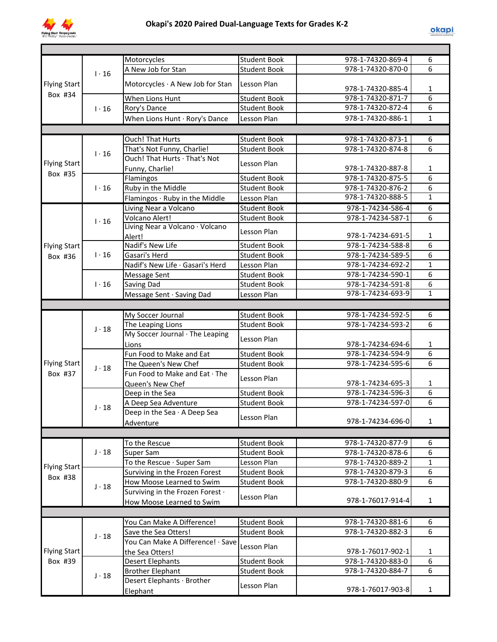

|                     |              | Motorcycles                            | <b>Student Book</b>                | 978-1-74320-869-4 | 6              |
|---------------------|--------------|----------------------------------------|------------------------------------|-------------------|----------------|
|                     | $1 \cdot 16$ | A New Job for Stan                     | <b>Student Book</b>                | 978-1-74320-870-0 | 6              |
|                     |              |                                        | Lesson Plan                        |                   |                |
| <b>Flying Start</b> |              | Motorcycles $\cdot$ A New Job for Stan |                                    | 978-1-74320-885-4 | 1              |
| Box #34             |              | When Lions Hunt                        | <b>Student Book</b>                | 978-1-74320-871-7 | $\overline{6}$ |
|                     | $1 \cdot 16$ | Rory's Dance                           | <b>Student Book</b>                | 978-1-74320-872-4 | $\overline{6}$ |
|                     |              | When Lions Hunt · Rory's Dance         | Lesson Plan                        | 978-1-74320-886-1 | $\mathbf{1}$   |
|                     |              |                                        |                                    |                   |                |
|                     |              | Ouch! That Hurts                       | <b>Student Book</b>                | 978-1-74320-873-1 | 6              |
|                     |              | That's Not Funny, Charlie!             | <b>Student Book</b>                | 978-1-74320-874-8 | 6              |
|                     | $1 \cdot 16$ | Ouch! That Hurts · That's Not          |                                    |                   |                |
| <b>Flying Start</b> |              | Funny, Charlie!                        | Lesson Plan                        | 978-1-74320-887-8 | 1              |
| Box #35             |              | Flamingos                              | <b>Student Book</b>                | 978-1-74320-875-5 | 6              |
|                     | $1 \cdot 16$ | Ruby in the Middle                     | <b>Student Book</b>                | 978-1-74320-876-2 | 6              |
|                     |              | Flamingos · Ruby in the Middle         | Lesson Plan                        | 978-1-74320-888-5 | $\overline{1}$ |
|                     |              | Living Near a Volcano                  | <b>Student Book</b>                | 978-1-74234-586-4 | $\overline{6}$ |
|                     |              | Volcano Alert!                         | <b>Student Book</b>                | 978-1-74234-587-1 | 6              |
|                     | $1 \cdot 16$ | Living Near a Volcano · Volcano        |                                    |                   |                |
|                     |              | Alert!                                 | Lesson Plan                        | 978-1-74234-691-5 | 1              |
| <b>Flying Start</b> |              | Nadif's New Life                       | <b>Student Book</b>                | 978-1-74234-588-8 | 6              |
| Box #36             | $1 \cdot 16$ | Gasari's Herd                          | <b>Student Book</b>                | 978-1-74234-589-5 | 6              |
|                     |              | Nadif's New Life · Gasari's Herd       | Lesson Plan                        | 978-1-74234-692-2 | $\mathbf{1}$   |
|                     |              | Message Sent                           | <b>Student Book</b>                | 978-1-74234-590-1 | 6              |
|                     | $1 \cdot 16$ | Saving Dad                             | <b>Student Book</b>                | 978-1-74234-591-8 | 6              |
|                     |              | Message Sent · Saving Dad              | Lesson Plan                        | 978-1-74234-693-9 | $\mathbf{1}$   |
|                     |              |                                        |                                    |                   |                |
|                     |              | My Soccer Journal                      | <b>Student Book</b>                | 978-1-74234-592-5 | 6              |
|                     |              | The Leaping Lions                      | <b>Student Book</b>                | 978-1-74234-593-2 | 6              |
|                     | $J \cdot 18$ | My Soccer Journal · The Leaping        |                                    |                   |                |
|                     |              | Lions                                  | Lesson Plan                        | 978-1-74234-694-6 | 1              |
|                     |              | Fun Food to Make and Eat               | <b>Student Book</b>                | 978-1-74234-594-9 | $\overline{6}$ |
| <b>Flying Start</b> |              | The Queen's New Chef                   | <b>Student Book</b>                | 978-1-74234-595-6 | 6              |
| Box #37             | $J \cdot 18$ | Fun Food to Make and Eat · The         |                                    |                   |                |
|                     |              |                                        | Lesson Plan                        | 978-1-74234-695-3 | $\mathbf{1}$   |
|                     |              | Queen's New Chef<br>Deep in the Sea    | <b>Student Book</b>                | 978-1-74234-596-3 | $\overline{6}$ |
|                     |              | A Deep Sea Adventure                   | <b>Student Book</b>                | 978-1-74234-597-0 | 6              |
|                     | $J \cdot 18$ | Deep in the Sea · A Deep Sea           |                                    |                   |                |
|                     |              |                                        | Lesson Plan                        | 978-1-74234-696-0 | $\mathbf{1}$   |
|                     |              | Adventure                              |                                    |                   |                |
|                     |              |                                        | <b>Student Book</b>                | 978-1-74320-877-9 | 6              |
|                     | $J \cdot 18$ | To the Rescue                          | <b>Student Book</b>                | 978-1-74320-878-6 | $\overline{6}$ |
|                     |              | Super Sam                              |                                    | 978-1-74320-889-2 | $\mathbf{1}$   |
| <b>Flying Start</b> |              | To the Rescue · Super Sam              | Lesson Plan<br><b>Student Book</b> | 978-1-74320-879-3 | $\overline{6}$ |
| Box #38             |              | Surviving in the Frozen Forest         |                                    | 978-1-74320-880-9 | $\overline{6}$ |
|                     | $J \cdot 18$ | How Moose Learned to Swim              | <b>Student Book</b>                |                   |                |
|                     |              | Surviving in the Frozen Forest .       | Lesson Plan                        | 978-1-76017-914-4 |                |
|                     |              | How Moose Learned to Swim              |                                    |                   | 1              |
|                     |              |                                        |                                    |                   |                |
|                     |              | You Can Make A Difference!             | <b>Student Book</b>                | 978-1-74320-881-6 | 6              |
|                     | $J \cdot 18$ | Save the Sea Otters!                   | <b>Student Book</b>                | 978-1-74320-882-3 | 6              |
|                     |              | You Can Make A Difference! · Save      | Lesson Plan                        |                   |                |
| <b>Flying Start</b> |              | the Sea Otters!                        |                                    | 978-1-76017-902-1 | 1              |
| Box #39             |              | <b>Desert Elephants</b>                | <b>Student Book</b>                | 978-1-74320-883-0 | 6              |
|                     | $J \cdot 18$ | <b>Brother Elephant</b>                | <b>Student Book</b>                | 978-1-74320-884-7 | 6              |
|                     |              | Desert Elephants · Brother             | Lesson Plan                        |                   |                |
|                     |              | Elephant                               |                                    | 978-1-76017-903-8 | 1              |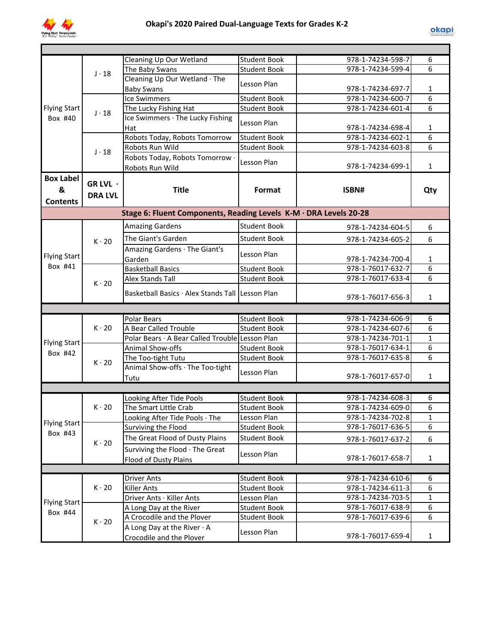

|                                          |                            | Cleaning Up Our Wetland                                           | <b>Student Book</b> | 978-1-74234-598-7                      | 6            |
|------------------------------------------|----------------------------|-------------------------------------------------------------------|---------------------|----------------------------------------|--------------|
|                                          | $J \cdot 18$               | The Baby Swans                                                    | <b>Student Book</b> | 978-1-74234-599-4                      | 6            |
|                                          |                            | Cleaning Up Our Wetland · The<br><b>Baby Swans</b>                | Lesson Plan         | 978-1-74234-697-7                      | 1            |
|                                          |                            | <b>Ice Swimmers</b>                                               | <b>Student Book</b> | 978-1-74234-600-7                      | 6            |
| <b>Flying Start</b>                      | $J \cdot 18$               | The Lucky Fishing Hat                                             | <b>Student Book</b> | 978-1-74234-601-4                      | 6            |
| Box #40                                  |                            | Ice Swimmers · The Lucky Fishing<br>Hat                           | Lesson Plan         | 978-1-74234-698-4                      | 1            |
|                                          |                            | Robots Today, Robots Tomorrow                                     | <b>Student Book</b> | 978-1-74234-602-1                      | 6            |
|                                          | $J \cdot 18$               | Robots Run Wild                                                   | <b>Student Book</b> | 978-1-74234-603-8                      | 6            |
|                                          |                            | Robots Today, Robots Tomorrow .<br>Robots Run Wild                | Lesson Plan         | 978-1-74234-699-1                      | $\mathbf{1}$ |
| <b>Box Label</b><br>&<br><b>Contents</b> | GR LVL ·<br><b>DRA LVL</b> | <b>Title</b>                                                      | Format              | ISBN#                                  | Qty          |
|                                          |                            | Stage 6: Fluent Components, Reading Levels K-M · DRA Levels 20-28 |                     |                                        |              |
|                                          |                            | <b>Amazing Gardens</b>                                            | <b>Student Book</b> | 978-1-74234-604-5                      | 6            |
|                                          | $K \cdot 20$               | The Giant's Garden                                                | <b>Student Book</b> | 978-1-74234-605-2                      | 6            |
|                                          |                            | Amazing Gardens · The Giant's                                     |                     |                                        |              |
| <b>Flying Start</b>                      |                            | Garden                                                            | Lesson Plan         | 978-1-74234-700-4                      | $\mathbf 1$  |
| Box #41                                  |                            | <b>Basketball Basics</b>                                          | <b>Student Book</b> | 978-1-76017-632-7                      | 6            |
|                                          |                            | <b>Alex Stands Tall</b>                                           | <b>Student Book</b> | 978-1-76017-633-4                      | 6            |
|                                          | $K \cdot 20$               | Basketball Basics · Alex Stands Tall Lesson Plan                  |                     | 978-1-76017-656-3                      | 1            |
|                                          |                            |                                                                   |                     |                                        |              |
|                                          | <b>Polar Bears</b>         | <b>Student Book</b>                                               | 978-1-74234-606-9   | 6                                      |              |
|                                          | $K \cdot 20$               | A Bear Called Trouble                                             | <b>Student Book</b> | 978-1-74234-607-6                      | 6            |
| <b>Flying Start</b>                      |                            | Polar Bears · A Bear Called Trouble Lesson Plan                   |                     | 978-1-74234-701-1                      | $\mathbf{1}$ |
| Box #42                                  |                            | Animal Show-offs                                                  | <b>Student Book</b> | 978-1-76017-634-1                      | 6            |
|                                          | $K \cdot 20$               | The Too-tight Tutu                                                | <b>Student Book</b> | 978-1-76017-635-8                      | 6            |
|                                          |                            | Animal Show-offs · The Too-tight<br>Tutu                          | Lesson Plan         | 978-1-76017-657-0                      | $\mathbf 1$  |
|                                          |                            |                                                                   |                     |                                        |              |
|                                          |                            | Looking After Tide Pools                                          | <b>Student Book</b> | 978-1-74234-608-3                      | 6            |
|                                          | $K \cdot 20$               | The Smart Little Crab                                             | <b>Student Book</b> | 978-1-74234-609-0                      | 6            |
| <b>Flying Start</b>                      |                            | Looking After Tide Pools · The                                    | Lesson Plan         | 978-1-74234-702-8                      | 1            |
| Box #43                                  |                            | Surviving the Flood                                               | <b>Student Book</b> | 978-1-76017-636-5                      | 6            |
|                                          | $K \cdot 20$               | The Great Flood of Dusty Plains                                   | <b>Student Book</b> | 978-1-76017-637-2                      | 6            |
|                                          |                            | Surviving the Flood · The Great                                   | Lesson Plan         |                                        |              |
|                                          |                            | <b>Flood of Dusty Plains</b>                                      |                     | 978-1-76017-658-7                      | $\mathbf{1}$ |
|                                          |                            |                                                                   |                     |                                        |              |
|                                          |                            | <b>Driver Ants</b>                                                | <b>Student Book</b> | 978-1-74234-610-6                      | 6            |
|                                          | $K \cdot 20$               | <b>Killer Ants</b>                                                | <b>Student Book</b> | 978-1-74234-611-3                      | 6            |
| <b>Flying Start</b>                      |                            | Driver Ants · Killer Ants                                         | Lesson Plan         | 978-1-74234-703-5                      | $\mathbf{1}$ |
| Box #44                                  |                            | A Long Day at the River<br>A Crocodile and the Plover             | Student Book        | 978-1-76017-638-9<br>978-1-76017-639-6 | 6<br>6       |
|                                          | $K \cdot 20$               | A Long Day at the River $\cdot$ A                                 | <b>Student Book</b> |                                        |              |
|                                          |                            | Crocodile and the Plover                                          | Lesson Plan         | 978-1-76017-659-4                      | 1            |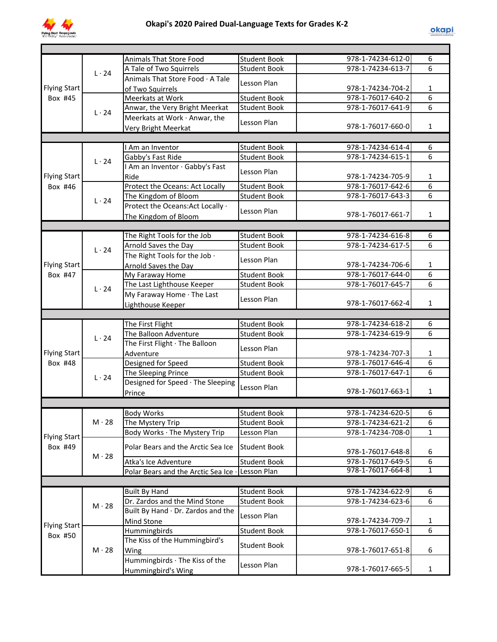

|                     |                      |                                                      | <b>Student Book</b>                 | 978-1-74234-612-0                      | 6            |
|---------------------|----------------------|------------------------------------------------------|-------------------------------------|----------------------------------------|--------------|
|                     |                      | Animals That Store Food<br>A Tale of Two Squirrels   | <b>Student Book</b>                 | 978-1-74234-613-7                      | 6            |
|                     | $L \cdot 24$         | Animals That Store Food · A Tale                     |                                     |                                        |              |
| <b>Flying Start</b> |                      |                                                      | Lesson Plan                         | 978-1-74234-704-2                      | 1            |
| Box #45             |                      | of Two Squirrels<br>Meerkats at Work                 | <b>Student Book</b>                 | 978-1-76017-640-2                      | 6            |
|                     |                      | Anwar, the Very Bright Meerkat                       | <b>Student Book</b>                 | 978-1-76017-641-9                      | 6            |
|                     | $L \cdot 24$         | Meerkats at Work · Anwar, the                        |                                     |                                        |              |
|                     |                      | <b>Very Bright Meerkat</b>                           | Lesson Plan                         | 978-1-76017-660-0                      | $\mathbf{1}$ |
|                     |                      |                                                      |                                     |                                        |              |
|                     |                      | I Am an Inventor                                     | <b>Student Book</b>                 | 978-1-74234-614-4                      | 6            |
|                     |                      | Gabby's Fast Ride                                    | <b>Student Book</b>                 | 978-1-74234-615-1                      | 6            |
|                     | $L \cdot 24$         | I Am an Inventor · Gabby's Fast                      |                                     |                                        |              |
| <b>Flying Start</b> |                      | Ride                                                 | Lesson Plan                         | 978-1-74234-705-9                      | $\mathbf{1}$ |
| Box #46             |                      | Protect the Oceans: Act Locally                      | <b>Student Book</b>                 | 978-1-76017-642-6                      | 6            |
|                     | $L \cdot 24$         | The Kingdom of Bloom                                 | <b>Student Book</b>                 | 978-1-76017-643-3                      | 6            |
|                     |                      | Protect the Oceans: Act Locally ·                    | Lesson Plan                         |                                        |              |
|                     | The Kingdom of Bloom |                                                      | 978-1-76017-661-7                   | $\mathbf{1}$                           |              |
|                     |                      |                                                      |                                     |                                        |              |
|                     |                      | The Right Tools for the Job                          | <b>Student Book</b>                 | 978-1-74234-616-8                      | 6            |
|                     | $L \cdot 24$         | Arnold Saves the Day                                 | <b>Student Book</b>                 | 978-1-74234-617-5                      | 6            |
|                     |                      | The Right Tools for the Job .                        | Lesson Plan                         |                                        |              |
| <b>Flying Start</b> |                      | Arnold Saves the Day                                 |                                     | 978-1-74234-706-6                      | 1            |
| Box #47             |                      | My Faraway Home                                      | <b>Student Book</b>                 | 978-1-76017-644-0                      | 6            |
|                     | 1.24                 | The Last Lighthouse Keeper                           | <b>Student Book</b>                 | 978-1-76017-645-7                      | 6            |
|                     |                      | My Faraway Home · The Last                           | Lesson Plan                         |                                        |              |
|                     |                      | Lighthouse Keeper                                    |                                     | 978-1-76017-662-4                      | $\mathbf{1}$ |
|                     |                      |                                                      |                                     |                                        |              |
|                     |                      |                                                      |                                     |                                        |              |
|                     |                      | The First Flight                                     | <b>Student Book</b>                 | 978-1-74234-618-2                      | 6            |
|                     | $L \cdot 24$         | The Balloon Adventure                                | <b>Student Book</b>                 | 978-1-74234-619-9                      | 6            |
|                     |                      | The First Flight · The Balloon                       | Lesson Plan                         |                                        |              |
| <b>Flying Start</b> |                      | Adventure                                            |                                     | 978-1-74234-707-3                      | $\mathbf{1}$ |
| Box #48             |                      | Designed for Speed                                   | <b>Student Book</b>                 | 978-1-76017-646-4                      | 6<br>6       |
|                     | $L \cdot 24$         | The Sleeping Prince                                  | <b>Student Book</b>                 | 978-1-76017-647-1                      |              |
|                     |                      | Designed for Speed · The Sleeping                    | Lesson Plan                         | 978-1-76017-663-1                      | $\mathbf{1}$ |
|                     |                      | Prince                                               |                                     |                                        |              |
|                     |                      | Body Works                                           |                                     |                                        |              |
|                     | $M \cdot 28$         |                                                      | Student Book<br><b>Student Book</b> | 978-1-74234-620-5<br>978-1-74234-621-2 | ь<br>6       |
|                     |                      | The Mystery Trip<br>Body Works · The Mystery Trip    | Lesson Plan                         | 978-1-74234-708-0                      | 1            |
| <b>Flying Start</b> |                      |                                                      |                                     |                                        |              |
| Box #49             |                      | Polar Bears and the Arctic Sea Ice                   | <b>Student Book</b>                 | 978-1-76017-648-8                      | 6            |
|                     | $M \cdot 28$         | Atka's Ice Adventure                                 | <b>Student Book</b>                 | 978-1-76017-649-5                      | 6            |
|                     |                      | Polar Bears and the Arctic Sea Ice .                 | Lesson Plan                         | 978-1-76017-664-8                      | 1            |
|                     |                      |                                                      |                                     |                                        |              |
|                     |                      | <b>Built By Hand</b>                                 | <b>Student Book</b>                 | 978-1-74234-622-9                      | 6            |
|                     |                      | Dr. Zardos and the Mind Stone                        | <b>Student Book</b>                 | 978-1-74234-623-6                      | 6            |
|                     | $M \cdot 28$         | Built By Hand · Dr. Zardos and the                   |                                     |                                        |              |
|                     |                      | Mind Stone                                           | Lesson Plan                         | 978-1-74234-709-7                      | 1            |
| <b>Flying Start</b> |                      | Hummingbirds                                         | <b>Student Book</b>                 | 978-1-76017-650-1                      | 6            |
| Box #50             |                      | The Kiss of the Hummingbird's                        |                                     |                                        |              |
|                     | $M \cdot 28$         | Wing                                                 | <b>Student Book</b>                 | 978-1-76017-651-8                      | 6            |
|                     |                      | Hummingbirds · The Kiss of the<br>Hummingbird's Wing | Lesson Plan                         | 978-1-76017-665-5                      | 1            |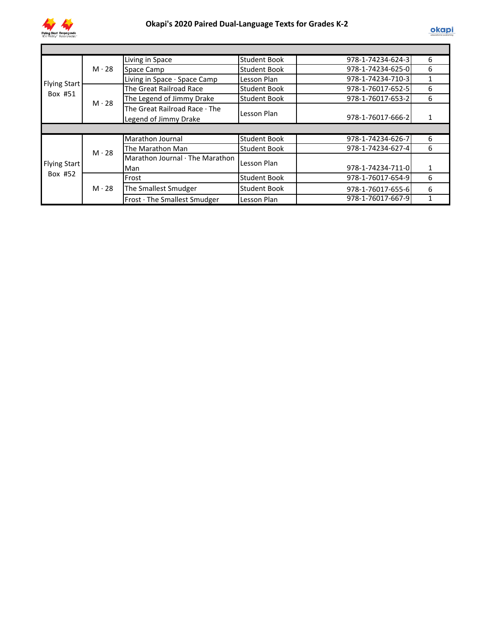

|                     |              | Living in Space                 | <b>Student Book</b> | 978-1-74234-624-3 | 6 |
|---------------------|--------------|---------------------------------|---------------------|-------------------|---|
|                     | $M \cdot 28$ | Space Camp                      | <b>Student Book</b> | 978-1-74234-625-0 | 6 |
|                     |              | Living in Space · Space Camp    | Lesson Plan         | 978-1-74234-710-3 | 1 |
| <b>Flying Start</b> |              | The Great Railroad Race         | <b>Student Book</b> | 978-1-76017-652-5 | 6 |
| Box #51             | $M \cdot 28$ | The Legend of Jimmy Drake       | <b>Student Book</b> | 978-1-76017-653-2 | 6 |
|                     |              | The Great Railroad Race · The   |                     |                   |   |
|                     |              | Legend of Jimmy Drake           | Lesson Plan         | 978-1-76017-666-2 |   |
|                     |              |                                 |                     |                   |   |
|                     |              | Marathon Journal                | <b>Student Book</b> | 978-1-74234-626-7 | 6 |
|                     | $M \cdot 28$ | The Marathon Man                | <b>Student Book</b> | 978-1-74234-627-4 | 6 |
|                     |              | Marathon Journal · The Marathon |                     |                   |   |
| <b>Flying Start</b> |              | Man                             | Lesson Plan         | 978-1-74234-711-0 | 1 |
| Box #52             |              | Frost                           | <b>Student Book</b> | 978-1-76017-654-9 | 6 |
|                     | $M \cdot 28$ | The Smallest Smudger            | <b>Student Book</b> | 978-1-76017-655-6 | 6 |
|                     |              | Frost · The Smallest Smudger    | Lesson Plan         | 978-1-76017-667-9 |   |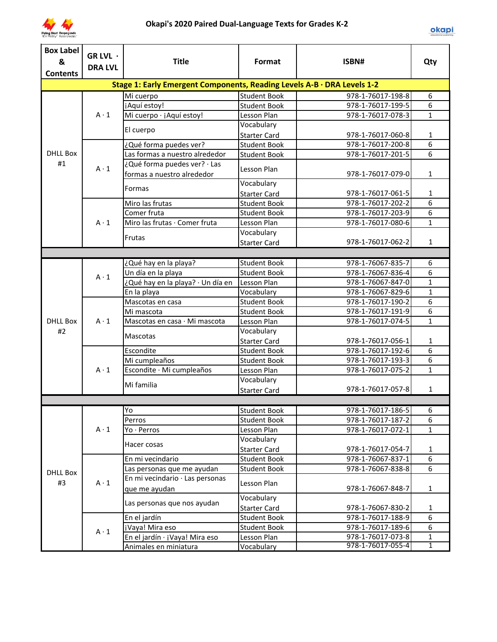

| <b>Box Label</b><br>& | GR LVL $\cdot$ | <b>Title</b>                                                            | Format                                     | ISBN#                                  |                |
|-----------------------|----------------|-------------------------------------------------------------------------|--------------------------------------------|----------------------------------------|----------------|
| <b>Contents</b>       | <b>DRA LVL</b> |                                                                         |                                            |                                        | Qty            |
|                       |                | Stage 1: Early Emergent Components, Reading Levels A-B · DRA Levels 1-2 |                                            |                                        |                |
|                       |                |                                                                         |                                            |                                        |                |
|                       |                | Mi cuerpo                                                               | Student Book                               | 978-1-76017-198-8<br>978-1-76017-199-5 | 6<br>6         |
|                       | $A \cdot 1$    | ¡Aquí estoy!<br>Mi cuerpo · ¡Aquí estoy!                                | <b>Student Book</b>                        |                                        | $\mathbf{1}$   |
|                       |                |                                                                         | Lesson Plan                                | 978-1-76017-078-3                      |                |
|                       |                | El cuerpo                                                               | Vocabulary                                 | 978-1-76017-060-8                      | $\mathbf{1}$   |
|                       |                | ¿Qué forma puedes ver?                                                  | <b>Starter Card</b><br><b>Student Book</b> | 978-1-76017-200-8                      | 6              |
| <b>DHLL Box</b>       |                | Las formas a nuestro alrededor                                          |                                            | 978-1-76017-201-5                      | 6              |
| #1                    |                | ¿Qué forma puedes ver? · Las                                            | <b>Student Book</b>                        |                                        |                |
|                       | $A \cdot 1$    | formas a nuestro alrededor                                              | Lesson Plan                                | 978-1-76017-079-0                      | $\mathbf{1}$   |
|                       |                | Formas                                                                  | Vocabulary                                 |                                        |                |
|                       |                |                                                                         | <b>Starter Card</b>                        | 978-1-76017-061-5                      | 1              |
|                       |                | Miro las frutas                                                         | <b>Student Book</b>                        | 978-1-76017-202-2                      | 6              |
|                       |                | Comer fruta                                                             | <b>Student Book</b>                        | 978-1-76017-203-9                      | 6              |
|                       | $A \cdot 1$    | Miro las frutas · Comer fruta                                           | Lesson Plan                                | 978-1-76017-080-6                      | $\mathbf{1}$   |
|                       |                | Frutas                                                                  | Vocabulary                                 |                                        |                |
|                       |                |                                                                         | <b>Starter Card</b>                        | 978-1-76017-062-2                      | $\mathbf{1}$   |
|                       |                |                                                                         |                                            |                                        |                |
|                       |                | ¿Qué hay en la playa?                                                   | <b>Student Book</b>                        | 978-1-76067-835-7                      | 6              |
|                       | $A \cdot 1$    | Un día en la playa                                                      | <b>Student Book</b>                        | 978-1-76067-836-4                      | $\overline{6}$ |
|                       |                | ¿Qué hay en la playa? · Un día en                                       | Lesson Plan                                | 978-1-76067-847-0                      | $\mathbf{1}$   |
|                       |                | En la playa                                                             | Vocabulary                                 | 978-1-76067-829-6                      | $\mathbf{1}$   |
|                       |                | Mascotas en casa                                                        | <b>Student Book</b>                        | 978-1-76017-190-2                      | 6              |
|                       |                | Mi mascota                                                              | <b>Student Book</b>                        | 978-1-76017-191-9                      | $\overline{6}$ |
| <b>DHLL Box</b>       | $A \cdot 1$    | Mascotas en casa · Mi mascota                                           | Lesson Plan                                | 978-1-76017-074-5                      | $\mathbf{1}$   |
| #2                    |                | Mascotas                                                                | Vocabulary                                 |                                        |                |
|                       |                |                                                                         | <b>Starter Card</b>                        | 978-1-76017-056-1                      | $\mathbf{1}$   |
|                       |                | Escondite                                                               | <b>Student Book</b>                        | 978-1-76017-192-6                      | $\overline{6}$ |
|                       |                | Mi cumpleaños                                                           | <b>Student Book</b>                        | 978-1-76017-193-3                      | $\overline{6}$ |
|                       | $A \cdot 1$    | Escondite · Mi cumpleaños                                               | Lesson Plan                                | 978-1-76017-075-2                      | $\mathbf{1}$   |
|                       |                | Mi familia                                                              | Vocabulary                                 |                                        |                |
|                       |                |                                                                         | <b>Starter Card</b>                        | 978-1-76017-057-8                      | $\mathbf{1}$   |
|                       |                |                                                                         |                                            |                                        |                |
|                       |                | Yo                                                                      | <b>Student Book</b>                        | 978-1-76017-186-5                      | 6              |
|                       |                | Perros                                                                  | <b>Student Book</b>                        | 978-1-76017-187-2                      | $\overline{6}$ |
|                       | $A \cdot 1$    | Yo · Perros                                                             | Lesson Plan                                | 978-1-76017-072-1                      | $\mathbf{1}$   |
|                       |                | Hacer cosas                                                             | Vocabulary                                 |                                        |                |
|                       |                |                                                                         | <b>Starter Card</b>                        | 978-1-76017-054-7                      | $\mathbf{1}$   |
|                       |                | En mi vecindario                                                        | <b>Student Book</b>                        | 978-1-76067-837-1                      | 6              |
| <b>DHLL Box</b>       |                | Las personas que me ayudan                                              | <b>Student Book</b>                        | 978-1-76067-838-8                      | 6              |
| #3                    | $A \cdot 1$    | En mi vecindario · Las personas                                         | Lesson Plan                                |                                        |                |
|                       |                | que me ayudan                                                           |                                            | 978-1-76067-848-7                      | $\mathbf{1}$   |
|                       |                | Las personas que nos ayudan                                             | Vocabulary<br><b>Starter Card</b>          | 978-1-76067-830-2                      | 1              |
|                       |                | En el jardín                                                            | <b>Student Book</b>                        | 978-1-76017-188-9                      | 6              |
|                       | $A \cdot 1$    | ¡Vaya! Mira eso                                                         | <b>Student Book</b>                        | 978-1-76017-189-6                      | 6              |
|                       |                | En el jardín · ¡Vaya! Mira eso                                          | Lesson Plan                                | 978-1-76017-073-8                      | $\mathbf{1}$   |
|                       |                | Animales en miniatura                                                   | Vocabulary                                 | 978-1-76017-055-4                      | $\overline{1}$ |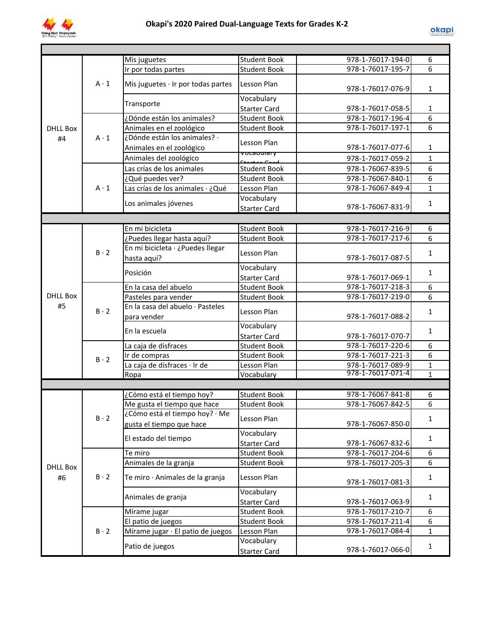

|                 |             | Mis juguetes                             | <b>Student Book</b>    | 978-1-76017-194-0 | 6              |
|-----------------|-------------|------------------------------------------|------------------------|-------------------|----------------|
|                 |             | Ir por todas partes                      | <b>Student Book</b>    | 978-1-76017-195-7 | 6              |
|                 | $A \cdot 1$ | Mis juguetes $\cdot$ Ir por todas partes | Lesson Plan            | 978-1-76017-076-9 | $\mathbf{1}$   |
|                 |             |                                          | Vocabulary             |                   |                |
|                 |             | Transporte                               | <b>Starter Card</b>    | 978-1-76017-058-5 | 1              |
|                 |             | ¿Dónde están los animales?               | <b>Student Book</b>    | 978-1-76017-196-4 | 6              |
| <b>DHLL Box</b> |             | Animales en el zoológico                 | <b>Student Book</b>    | 978-1-76017-197-1 | 6              |
| #4              | $A \cdot 1$ | ¿Dónde están los animales? ·             | Lesson Plan            |                   |                |
|                 |             | Animales en el zoológico                 |                        | 978-1-76017-077-6 | 1              |
|                 |             | Animales del zoológico                   | vocabulary<br>$C+2r+a$ | 978-1-76017-059-2 | $\mathbf{1}$   |
|                 |             | Las crías de los animales                | <b>Student Book</b>    | 978-1-76067-839-5 | 6              |
|                 |             | ¿Qué puedes ver?                         | <b>Student Book</b>    | 978-1-76067-840-1 | 6              |
|                 | $A \cdot 1$ | Las crías de los animales · ¿Qué         | Lesson Plan            | 978-1-76067-849-4 | $\mathbf{1}$   |
|                 |             |                                          | Vocabulary             |                   |                |
|                 |             | Los animales jóvenes                     | <b>Starter Card</b>    | 978-1-76067-831-9 | $\mathbf{1}$   |
|                 |             |                                          |                        |                   |                |
|                 |             | En mi bicicleta                          | <b>Student Book</b>    | 978-1-76017-216-9 | 6              |
|                 |             | ¿Puedes llegar hasta aquí?               | <b>Student Book</b>    | 978-1-76017-217-6 | 6              |
|                 |             | En mi bicicleta · ¿Puedes llegar         |                        |                   |                |
|                 | $B \cdot 2$ | hasta aquí?                              | Lesson Plan            | 978-1-76017-087-5 | $\mathbf{1}$   |
|                 |             |                                          | Vocabulary             |                   |                |
|                 |             | Posición                                 | <b>Starter Card</b>    | 978-1-76017-069-1 | $\mathbf{1}$   |
|                 |             | En la casa del abuelo                    | <b>Student Book</b>    | 978-1-76017-218-3 | 6              |
| <b>DHLL Box</b> |             | Pasteles para vender                     | <b>Student Book</b>    | 978-1-76017-219-0 | 6              |
| #5              | $B \cdot 2$ | En la casa del abuelo · Pasteles         |                        |                   |                |
|                 |             | para vender                              | Lesson Plan            | 978-1-76017-088-2 | $\mathbf{1}$   |
|                 |             |                                          | Vocabulary             |                   |                |
|                 |             | En la escuela                            | <b>Starter Card</b>    | 978-1-76017-070-7 | $\mathbf{1}$   |
|                 |             | La caja de disfraces                     | <b>Student Book</b>    | 978-1-76017-220-6 | 6              |
|                 | $B \cdot 2$ | Ir de compras                            | <b>Student Book</b>    | 978-1-76017-221-3 | 6              |
|                 |             | La caja de disfraces · Ir de             | Lesson Plan            | 978-1-76017-089-9 | $\mathbf{1}$   |
|                 |             | Ropa                                     | Vocabulary             | 978-1-76017-071-4 | $\overline{1}$ |
|                 |             |                                          |                        |                   |                |
|                 |             | ¿Cómo está el tiempo hoy?                | <b>Student Book</b>    | 978-1-76067-841-8 | 6              |
|                 |             | Me gusta el tiempo que hace              | <b>Student Book</b>    | 978-1-76067-842-5 | 6              |
|                 | $B \cdot 2$ | ¿Cómo está el tiempo hoy? · Me           | Lesson Plan            |                   | 1              |
|                 |             | gusta el tiempo que hace                 |                        | 978-1-76067-850-0 |                |
|                 |             | El estado del tiempo                     | Vocabulary             |                   | $\mathbf{1}$   |
|                 |             |                                          | <b>Starter Card</b>    | 978-1-76067-832-6 |                |
|                 |             | Te miro                                  | <b>Student Book</b>    | 978-1-76017-204-6 | 6              |
| <b>DHLL Box</b> |             | Animales de la granja                    | <b>Student Book</b>    | 978-1-76017-205-3 | 6              |
| #6              | $B \cdot 2$ | Te miro · Animales de la granja          | Lesson Plan            | 978-1-76017-081-3 | $\mathbf 1$    |
|                 |             | Animales de granja                       | Vocabulary             |                   | $\mathbf{1}$   |
|                 |             |                                          | <b>Starter Card</b>    | 978-1-76017-063-9 |                |
|                 |             | Mírame jugar                             | <b>Student Book</b>    | 978-1-76017-210-7 | 6              |
|                 |             | El patio de juegos                       | <b>Student Book</b>    | 978-1-76017-211-4 | 6              |
|                 | $B \cdot 2$ | Mírame jugar · El patio de juegos        | Lesson Plan            | 978-1-76017-084-4 | $\mathbf{1}$   |
|                 |             | Patio de juegos                          | Vocabulary             |                   | $\mathbf{1}$   |
|                 |             |                                          | <b>Starter Card</b>    | 978-1-76017-066-0 |                |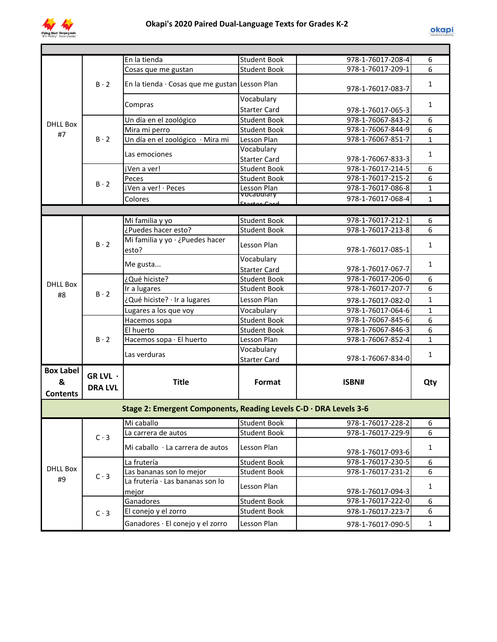

|                                          |                            | En la tienda                                                      | <b>Student Book</b>       | 978-1-76017-208-4 | 6            |
|------------------------------------------|----------------------------|-------------------------------------------------------------------|---------------------------|-------------------|--------------|
|                                          |                            | Cosas que me gustan                                               | <b>Student Book</b>       | 978-1-76017-209-1 | 6            |
|                                          | $B \cdot 2$                | En la tienda · Cosas que me gustan Lesson Plan                    |                           | 978-1-76017-083-7 | $\mathbf{1}$ |
|                                          |                            | Compras                                                           | Vocabulary                |                   | $\mathbf{1}$ |
|                                          |                            |                                                                   | <b>Starter Card</b>       | 978-1-76017-065-3 |              |
| <b>DHLL Box</b>                          |                            | Un día en el zoológico                                            | <b>Student Book</b>       | 978-1-76067-843-2 | 6            |
| #7                                       |                            | Mira mi perro                                                     | <b>Student Book</b>       | 978-1-76067-844-9 | 6            |
|                                          | $B \cdot 2$                | Un día en el zoológico · Mira mi                                  | Lesson Plan               | 978-1-76067-851-7 | $\mathbf{1}$ |
|                                          |                            | Las emociones                                                     | Vocabulary                |                   | $\mathbf{1}$ |
|                                          |                            |                                                                   | <b>Starter Card</b>       | 978-1-76067-833-3 |              |
|                                          |                            | ¡Ven a ver!                                                       | <b>Student Book</b>       | 978-1-76017-214-5 | 6            |
|                                          | $B \cdot 2$                | Peces                                                             | <b>Student Book</b>       | 978-1-76017-215-2 | 6            |
|                                          |                            | jVen a ver! · Peces                                               | Lesson Plan<br>vocapulary | 978-1-76017-086-8 | $\mathbf{1}$ |
|                                          |                            | Colores                                                           |                           | 978-1-76017-068-4 | $\mathbf{1}$ |
|                                          |                            |                                                                   |                           |                   |              |
|                                          |                            | Mi familia y yo                                                   | <b>Student Book</b>       | 978-1-76017-212-1 | 6            |
|                                          |                            | ¿Puedes hacer esto?                                               | <b>Student Book</b>       | 978-1-76017-213-8 | 6            |
|                                          | $B \cdot 2$                | Mi familia y yo · ¿Puedes hacer<br>esto?                          | Lesson Plan               | 978-1-76017-085-1 | $\mathbf{1}$ |
|                                          |                            |                                                                   | Vocabulary                |                   | $\mathbf{1}$ |
|                                          |                            | Me gusta                                                          | <b>Starter Card</b>       | 978-1-76017-067-7 |              |
| <b>DHLL Box</b>                          |                            | ¿Qué hiciste?                                                     | <b>Student Book</b>       | 978-1-76017-206-0 | 6            |
|                                          | $B \cdot 2$                | Ir a lugares                                                      | <b>Student Book</b>       | 978-1-76017-207-7 | 6            |
| #8                                       |                            | ¿Qué hiciste? · Ir a lugares                                      | Lesson Plan               | 978-1-76017-082-0 | $\mathbf{1}$ |
|                                          |                            | Lugares a los que voy                                             | Vocabulary                | 978-1-76017-064-6 | $\mathbf{1}$ |
|                                          |                            | Hacemos sopa                                                      | <b>Student Book</b>       | 978-1-76067-845-6 | 6            |
|                                          |                            | El huerto                                                         | <b>Student Book</b>       | 978-1-76067-846-3 | 6            |
|                                          | $B \cdot 2$                | Hacemos sopa · El huerto                                          | Lesson Plan               | 978-1-76067-852-4 | $\mathbf{1}$ |
|                                          |                            | Las verduras                                                      | Vocabulary                |                   | $\mathbf{1}$ |
|                                          |                            |                                                                   | Starter Card              | 978-1-76067-834-0 |              |
| <b>Box Label</b><br>&<br><b>Contents</b> | GR LVL ·<br><b>DRA LVL</b> | <b>Title</b>                                                      | Format                    | ISBN#             | Qty          |
|                                          |                            | Stage 2: Emergent Components, Reading Levels C-D · DRA Levels 3-6 |                           |                   |              |
|                                          |                            | Mi caballo                                                        | <b>Student Book</b>       | 978-1-76017-228-2 | 6            |
|                                          | $C \cdot 3$                | La carrera de autos                                               | <b>Student Book</b>       | 978-1-76017-229-9 | 6            |
|                                          |                            | Mi caballo · La carrera de autos                                  | Lesson Plan               | 978-1-76017-093-6 | $\mathbf{1}$ |
|                                          |                            | La frutería                                                       | <b>Student Book</b>       | 978-1-76017-230-5 | 6            |
| <b>DHLL Box</b>                          | $C \cdot 3$                | Las bananas son lo mejor                                          | <b>Student Book</b>       | 978-1-76017-231-2 | 6            |
| #9                                       |                            | La frutería · Las bananas son lo<br>mejor                         | Lesson Plan               | 978-1-76017-094-3 | $\mathbf{1}$ |
|                                          |                            | Ganadores                                                         | <b>Student Book</b>       | 978-1-76017-222-0 | 6            |
|                                          | $C \cdot 3$                | El conejo y el zorro                                              | <b>Student Book</b>       | 978-1-76017-223-7 | 6            |
|                                          |                            | Ganadores · El conejo y el zorro                                  | Lesson Plan               | 978-1-76017-090-5 | $\mathbf{1}$ |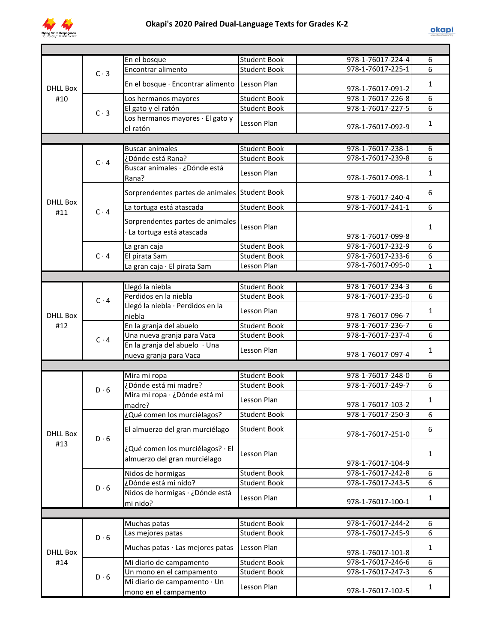

|                 |             | En el bosque                                  | <b>Student Book</b> | 978-1-76017-224-4 | 6              |
|-----------------|-------------|-----------------------------------------------|---------------------|-------------------|----------------|
|                 |             | Encontrar alimento                            | <b>Student Book</b> | 978-1-76017-225-1 | 6              |
|                 | $C \cdot 3$ |                                               |                     |                   |                |
| <b>DHLL Box</b> |             | En el bosque · Encontrar alimento             | Lesson Plan         |                   | $\mathbf{1}$   |
|                 |             |                                               |                     | 978-1-76017-091-2 |                |
| #10             |             | Los hermanos mayores                          | <b>Student Book</b> | 978-1-76017-226-8 | 6              |
|                 | $C \cdot 3$ | El gato y el ratón                            | <b>Student Book</b> | 978-1-76017-227-5 | $\overline{6}$ |
|                 |             | Los hermanos mayores · El gato y              |                     |                   |                |
|                 |             | el ratón                                      | Lesson Plan         | 978-1-76017-092-9 | 1              |
|                 |             |                                               |                     |                   |                |
|                 |             |                                               |                     |                   |                |
|                 |             | <b>Buscar animales</b>                        | <b>Student Book</b> | 978-1-76017-238-1 | 6              |
|                 | $C \cdot 4$ | ¿Dónde está Rana?                             | <b>Student Book</b> | 978-1-76017-239-8 | 6              |
|                 |             | Buscar animales · ¿Dónde está                 |                     |                   |                |
|                 |             | Rana?                                         | Lesson Plan         | 978-1-76017-098-1 | $\mathbf{1}$   |
|                 |             |                                               |                     |                   |                |
|                 |             | Sorprendentes partes de animales Student Book |                     |                   | 6              |
| <b>DHLL Box</b> |             |                                               |                     | 978-1-76017-240-4 |                |
| #11             | $C \cdot 4$ | La tortuga está atascada                      | <b>Student Book</b> | 978-1-76017-241-1 | 6              |
|                 |             | Sorprendentes partes de animales              |                     |                   |                |
|                 |             |                                               | Lesson Plan         |                   | 1              |
|                 |             | La tortuga está atascada                      |                     | 978-1-76017-099-8 |                |
|                 |             |                                               | <b>Student Book</b> | 978-1-76017-232-9 | 6              |
|                 |             | La gran caja                                  |                     |                   |                |
|                 | $C \cdot 4$ | El pirata Sam                                 | Student Book        | 978-1-76017-233-6 | 6              |
|                 |             | La gran caja · El pirata Sam                  | Lesson Plan         | 978-1-76017-095-0 | $\mathbf{1}$   |
|                 |             |                                               |                     |                   |                |
|                 |             | Llegó la niebla                               | <b>Student Book</b> | 978-1-76017-234-3 | 6              |
|                 |             | Perdidos en la niebla                         | <b>Student Book</b> | 978-1-76017-235-0 | 6              |
|                 | $C \cdot 4$ |                                               |                     |                   |                |
|                 |             | Llegó la niebla · Perdidos en la              | Lesson Plan         |                   | $\mathbf{1}$   |
| <b>DHLL Box</b> |             | niebla                                        |                     | 978-1-76017-096-7 |                |
| #12             |             | En la granja del abuelo                       | <b>Student Book</b> | 978-1-76017-236-7 | 6              |
|                 |             | Una nueva granja para Vaca                    | <b>Student Book</b> | 978-1-76017-237-4 | 6              |
|                 | $C \cdot 4$ | En la granja del abuelo · Una                 |                     |                   |                |
|                 |             |                                               | Lesson Plan         | 978-1-76017-097-4 | 1              |
|                 |             | nueva granja para Vaca                        |                     |                   |                |
|                 |             |                                               |                     |                   |                |
|                 |             | Mira mi ropa                                  | <b>Student Book</b> | 978-1-76017-248-0 | 6              |
|                 | D.6         | ¿Dónde está mi madre?                         | <b>Student Book</b> | 978-1-76017-249-7 | 6              |
|                 |             | Mira mi ropa · ¿Dónde está mi                 |                     |                   |                |
|                 |             | madre?                                        | Lesson Plan         | 978-1-76017-103-2 | 1              |
|                 |             |                                               |                     |                   |                |
|                 |             | ¿Qué comen los murciélagos?                   | Student Book        | 978-1-76017-250-3 | 6              |
|                 |             | El almuerzo del gran murciélago               | <b>Student Book</b> |                   | 6              |
| <b>DHLL Box</b> | $D \cdot 6$ |                                               |                     | 978-1-76017-251-0 |                |
| #13             |             |                                               |                     |                   |                |
|                 |             | ¿Qué comen los murciélagos? · El              | Lesson Plan         |                   | 1              |
|                 |             | almuerzo del gran murciélago                  |                     | 978-1-76017-104-9 |                |
|                 |             | Nidos de hormigas                             | <b>Student Book</b> | 978-1-76017-242-8 | 6              |
|                 |             |                                               |                     |                   |                |
|                 | $D \cdot 6$ | ¿Dónde está mi nido?                          | <b>Student Book</b> | 978-1-76017-243-5 | 6              |
|                 |             | Nidos de hormigas · ¿Dónde está               | Lesson Plan         |                   | $\mathbf{1}$   |
|                 |             | mi nido?                                      |                     | 978-1-76017-100-1 |                |
|                 |             |                                               |                     |                   |                |
|                 |             | Muchas patas                                  | <b>Student Book</b> | 978-1-76017-244-2 | 6              |
|                 |             |                                               | <b>Student Book</b> | 978-1-76017-245-9 | 6              |
|                 | $D \cdot 6$ | Las mejores patas                             |                     |                   |                |
|                 |             | Muchas patas · Las mejores patas              | Lesson Plan         |                   | $\mathbf{1}$   |
| <b>DHLL Box</b> |             |                                               |                     | 978-1-76017-101-8 |                |
| #14             |             | Mi diario de campamento                       | <b>Student Book</b> | 978-1-76017-246-6 | 6              |
|                 |             | Un mono en el campamento                      | <b>Student Book</b> | 978-1-76017-247-3 | 6              |
|                 | $D \cdot 6$ | Mi diario de campamento · Un                  |                     |                   |                |
|                 |             |                                               | Lesson Plan         | 978-1-76017-102-5 | 1              |
|                 |             | mono en el campamento                         |                     |                   |                |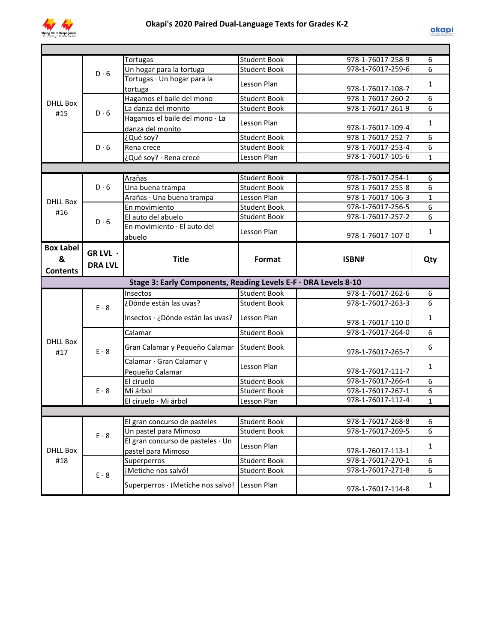

|                  |                | Tortugas                                                        | <b>Student Book</b>                | 978-1-76017-258-9                      | 6                 |
|------------------|----------------|-----------------------------------------------------------------|------------------------------------|----------------------------------------|-------------------|
|                  | $D \cdot 6$    | Un hogar para la tortuga                                        | <b>Student Book</b>                | 978-1-76017-259-6                      | 6                 |
|                  |                | Tortugas · Un hogar para la                                     |                                    |                                        |                   |
|                  |                | tortuga                                                         | Lesson Plan                        | 978-1-76017-108-7                      | 1                 |
|                  |                | Hagamos el baile del mono                                       | <b>Student Book</b>                | 978-1-76017-260-2                      | 6                 |
| <b>DHLL Box</b>  | $D \cdot 6$    | La danza del monito                                             | <b>Student Book</b>                | 978-1-76017-261-9                      | 6                 |
| #15              |                | Hagamos el baile del mono · La                                  |                                    |                                        |                   |
|                  |                | danza del monito                                                | Lesson Plan                        | 978-1-76017-109-4                      | 1                 |
|                  |                | ¿Qué soy?                                                       | <b>Student Book</b>                | 978-1-76017-252-7                      | 6                 |
|                  | D.6            | Rena crece                                                      | <b>Student Book</b>                | 978-1-76017-253-4                      | 6                 |
|                  |                | ¿Qué soy? · Rena crece                                          | Lesson Plan                        | 978-1-76017-105-6                      | $\mathbf{1}$      |
|                  |                |                                                                 |                                    |                                        |                   |
|                  |                | Arañas                                                          | <b>Student Book</b>                | 978-1-76017-254-1                      | 6                 |
|                  | $D \cdot 6$    | Una buena trampa                                                | <b>Student Book</b>                | 978-1-76017-255-8                      | 6                 |
|                  |                | Arañas · Una buena trampa                                       | Lesson Plan                        | 978-1-76017-106-3                      | $\mathbf{1}$      |
| <b>DHLL Box</b>  |                | En movimiento                                                   | <b>Student Book</b>                | 978-1-76017-256-5                      | 6                 |
| #16              |                | El auto del abuelo                                              | <b>Student Book</b>                | 978-1-76017-257-2                      | 6                 |
|                  | $D \cdot 6$    | En movimiento · El auto del                                     |                                    |                                        |                   |
|                  |                | abuelo                                                          | Lesson Plan                        | 978-1-76017-107-0                      | 1                 |
| <b>Box Label</b> |                |                                                                 |                                    |                                        |                   |
|                  | GR LVL ·       |                                                                 |                                    |                                        |                   |
| &                | <b>DRA LVL</b> | <b>Title</b>                                                    | Format                             | ISBN#                                  | Qty               |
| <b>Contents</b>  |                |                                                                 |                                    |                                        |                   |
|                  |                |                                                                 |                                    |                                        |                   |
|                  |                | Stage 3: Early Components, Reading Levels E-F · DRA Levels 8-10 |                                    |                                        |                   |
|                  |                | Insectos                                                        | <b>Student Book</b>                | 978-1-76017-262-6                      | 6                 |
|                  |                | ¿Dónde están las uvas?                                          | <b>Student Book</b>                | 978-1-76017-263-3                      | 6                 |
|                  | $E \cdot 8$    |                                                                 |                                    |                                        |                   |
|                  |                | Insectos · ¿Dónde están las uvas?                               | Lesson Plan                        | 978-1-76017-110-0                      | $\mathbf{1}$      |
|                  |                | Calamar                                                         | <b>Student Book</b>                | 978-1-76017-264-0                      | 6                 |
| <b>DHLL Box</b>  |                |                                                                 |                                    |                                        |                   |
| #17              | $E \cdot 8$    | Gran Calamar y Pequeño Calamar                                  | <b>Student Book</b>                | 978-1-76017-265-7                      | 6                 |
|                  |                |                                                                 |                                    |                                        |                   |
|                  |                | Calamar · Gran Calamar y                                        | Lesson Plan                        | 978-1-76017-111-7                      | 1                 |
|                  |                | Pequeño Calamar                                                 |                                    |                                        | 6                 |
|                  | $E \cdot 8$    | El ciruelo<br>Mi árbol                                          | <b>Student Book</b>                | 978-1-76017-266-4<br>978-1-76017-267-1 |                   |
|                  |                |                                                                 | <b>Student Book</b><br>Lesson Plan | 978-1-76017-112-4                      | 6<br>$\mathbf{1}$ |
|                  |                | El ciruelo · Mi árbol                                           |                                    |                                        |                   |
|                  |                |                                                                 |                                    |                                        |                   |
|                  |                | El gran concurso de pasteles                                    | <b>Student Book</b>                | 978-1-76017-268-8                      | 6                 |
|                  | $E \cdot 8$    | Un pastel para Mimoso                                           | <b>Student Book</b>                | 978-1-76017-269-5                      | 6                 |
|                  |                | El gran concurso de pasteles · Un                               | Lesson Plan                        |                                        | $\mathbf{1}$      |
| <b>DHLL Box</b>  |                | pastel para Mimoso                                              |                                    | 978-1-76017-113-1                      |                   |
| #18              |                | Superperros                                                     | <b>Student Book</b>                | 978-1-76017-270-1                      | 6                 |
|                  | $E \cdot 8$    | ¡Metiche nos salvó!                                             | <b>Student Book</b>                | 978-1-76017-271-8                      | 6                 |
|                  |                | Superperros · ¡Metiche nos salvó! Lesson Plan                   |                                    | 978-1-76017-114-8                      | $\mathbf{1}$      |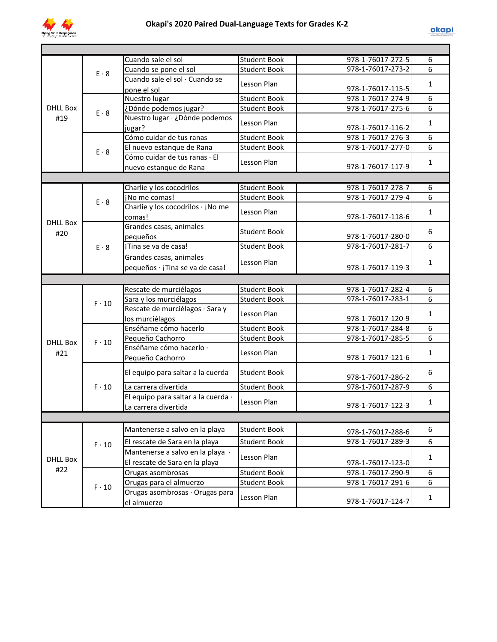

|                                |              | Cuando sale el sol                  | <b>Student Book</b> | 978-1-76017-272-5 | 6            |
|--------------------------------|--------------|-------------------------------------|---------------------|-------------------|--------------|
|                                | $E \cdot 8$  | Cuando se pone el sol               | <b>Student Book</b> | 978-1-76017-273-2 | 6            |
|                                |              | Cuando sale el sol · Cuando se      | Lesson Plan         |                   | $\mathbf{1}$ |
|                                |              | pone el sol                         |                     | 978-1-76017-115-5 |              |
|                                |              | Nuestro lugar                       | <b>Student Book</b> | 978-1-76017-274-9 | 6            |
| <b>DHLL Box</b><br>$E \cdot 8$ |              | ¿Dónde podemos jugar?               | <b>Student Book</b> | 978-1-76017-275-6 | 6            |
| #19                            |              | Nuestro lugar · ¿Dónde podemos      |                     |                   |              |
|                                |              | jugar?                              | Lesson Plan         | 978-1-76017-116-2 | $\mathbf{1}$ |
|                                |              | Cómo cuidar de tus ranas            | <b>Student Book</b> | 978-1-76017-276-3 | 6            |
|                                | $E \cdot 8$  | El nuevo estanque de Rana           | <b>Student Book</b> | 978-1-76017-277-0 | 6            |
|                                |              | Cómo cuidar de tus ranas · El       |                     |                   |              |
|                                |              | nuevo estanque de Rana              | Lesson Plan         | 978-1-76017-117-9 | 1            |
|                                |              |                                     |                     |                   |              |
|                                |              | Charlie y los cocodrilos            | <b>Student Book</b> | 978-1-76017-278-7 | 6            |
|                                |              | ¡No me comas!                       | <b>Student Book</b> | 978-1-76017-279-4 | 6            |
|                                | $E \cdot 8$  | Charlie y los cocodrilos · ¡No me   |                     |                   |              |
|                                |              | comas!                              | Lesson Plan         | 978-1-76017-118-6 | $\mathbf{1}$ |
| <b>DHLL Box</b>                |              | Grandes casas, animales             |                     |                   |              |
| #20                            |              | pequeños                            | <b>Student Book</b> | 978-1-76017-280-0 | 6            |
|                                | $E \cdot 8$  | ¡Tina se va de casa!                | <b>Student Book</b> | 978-1-76017-281-7 | 6            |
|                                |              |                                     |                     |                   |              |
|                                |              | Grandes casas, animales             | Lesson Plan         |                   | $\mathbf{1}$ |
|                                |              | pequeños · ¡Tina se va de casa!     |                     | 978-1-76017-119-3 |              |
|                                |              |                                     |                     |                   |              |
|                                |              | Rescate de murciélagos              | <b>Student Book</b> | 978-1-76017-282-4 | 6            |
|                                | $F \cdot 10$ | Sara y los murciélagos              | <b>Student Book</b> | 978-1-76017-283-1 | 6            |
|                                |              | Rescate de murciélagos · Sara y     | Lesson Plan         |                   | $\mathbf{1}$ |
|                                |              | los murciélagos                     |                     | 978-1-76017-120-9 |              |
|                                |              | Enséñame cómo hacerlo               | <b>Student Book</b> | 978-1-76017-284-8 | 6            |
| <b>DHLL Box</b>                | $F \cdot 10$ | Pequeño Cachorro                    | <b>Student Book</b> | 978-1-76017-285-5 | 6            |
|                                |              | Enséñame cómo hacerlo ·             |                     |                   | $\mathbf{1}$ |
| #21                            |              | Pequeño Cachorro                    | Lesson Plan         | 978-1-76017-121-6 |              |
|                                |              |                                     |                     |                   |              |
|                                |              | El equipo para saltar a la cuerda   | <b>Student Book</b> | 978-1-76017-286-2 | 6            |
|                                | $F \cdot 10$ | La carrera divertida                | <b>Student Book</b> | 978-1-76017-287-9 | 6            |
|                                |              | El equipo para saltar a la cuerda · |                     |                   |              |
|                                |              | La carrera divertida                | Lesson Plan         | 978-1-76017-122-3 | $\mathbf{1}$ |
|                                |              |                                     |                     |                   |              |
|                                |              |                                     |                     |                   | 6            |
|                                |              |                                     |                     |                   |              |
|                                |              | Mantenerse a salvo en la playa      | <b>Student Book</b> | 978-1-76017-288-6 |              |
|                                | $F \cdot 10$ | El rescate de Sara en la playa      | <b>Student Book</b> | 978-1-76017-289-3 | 6            |
|                                |              | Mantenerse a salvo en la playa ·    |                     |                   |              |
| <b>DHLL Box</b>                |              | El rescate de Sara en la playa      | Lesson Plan         | 978-1-76017-123-0 | $\mathbf{1}$ |
| #22                            |              | Orugas asombrosas                   | <b>Student Book</b> | 978-1-76017-290-9 | 6            |
|                                |              | Orugas para el almuerzo             | <b>Student Book</b> | 978-1-76017-291-6 | 6            |
|                                | $F \cdot 10$ | Orugas asombrosas · Orugas para     | Lesson Plan         | 978-1-76017-124-7 | $\mathbf{1}$ |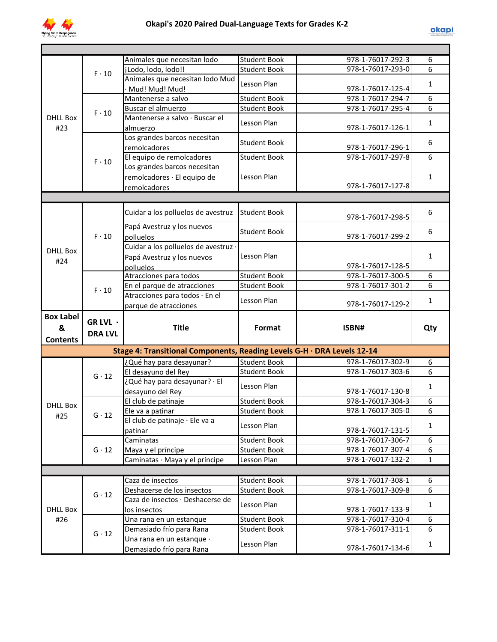

|                  |                | Animales que necesitan lodo                                             | <b>Student Book</b>                 | 978-1-76017-292-3                      | 6               |
|------------------|----------------|-------------------------------------------------------------------------|-------------------------------------|----------------------------------------|-----------------|
|                  | $F \cdot 10$   | ¡Lodo, lodo, lodo!!                                                     | <b>Student Book</b>                 | 978-1-76017-293-0                      | 6               |
|                  |                | Animales que necesitan lodo Mud                                         | Lesson Plan                         |                                        | $\mathbf{1}$    |
|                  |                | Mud! Mud! Mud!                                                          |                                     | 978-1-76017-125-4                      |                 |
|                  |                | Mantenerse a salvo                                                      | <b>Student Book</b>                 | 978-1-76017-294-7                      | 6               |
|                  | $F \cdot 10$   | Buscar el almuerzo                                                      | <b>Student Book</b>                 | 978-1-76017-295-4                      | $6 \overline{}$ |
| <b>DHLL Box</b>  |                | Mantenerse a salvo · Buscar el                                          | Lesson Plan                         |                                        | $\mathbf{1}$    |
| #23              |                | almuerzo                                                                |                                     | 978-1-76017-126-1                      |                 |
|                  |                | Los grandes barcos necesitan                                            | <b>Student Book</b>                 |                                        | 6               |
|                  |                | remolcadores                                                            |                                     | 978-1-76017-296-1<br>978-1-76017-297-8 | 6               |
|                  | $F \cdot 10$   | El equipo de remolcadores<br>Los grandes barcos necesitan               | <b>Student Book</b>                 |                                        |                 |
|                  |                |                                                                         |                                     |                                        |                 |
|                  |                | remolcadores · El equipo de                                             | Lesson Plan                         | 978-1-76017-127-8                      | $\mathbf{1}$    |
|                  |                | remolcadores                                                            |                                     |                                        |                 |
|                  |                |                                                                         |                                     |                                        |                 |
|                  |                | Cuidar a los polluelos de avestruz                                      | <b>Student Book</b>                 |                                        | 6               |
|                  |                |                                                                         |                                     | 978-1-76017-298-5                      |                 |
|                  |                | Papá Avestruz y los nuevos                                              | <b>Student Book</b>                 |                                        | 6               |
|                  | $F \cdot 10$   | polluelos                                                               |                                     | 978-1-76017-299-2                      |                 |
| <b>DHLL Box</b>  |                | Cuidar a los polluelos de avestruz ·                                    |                                     |                                        |                 |
| #24              |                | Papá Avestruz y los nuevos                                              | Lesson Plan                         |                                        | $\mathbf{1}$    |
|                  |                | polluelos                                                               |                                     | 978-1-76017-128-5                      |                 |
|                  |                | Atracciones para todos                                                  | <b>Student Book</b>                 | 978-1-76017-300-5                      | 6               |
|                  | $F \cdot 10$   | En el parque de atracciones                                             | <b>Student Book</b>                 | 978-1-76017-301-2                      | 6               |
|                  |                | Atracciones para todos · En el                                          | Lesson Plan                         |                                        | $\mathbf{1}$    |
|                  |                |                                                                         |                                     |                                        |                 |
|                  |                | parque de atracciones                                                   |                                     | 978-1-76017-129-2                      |                 |
| <b>Box Label</b> |                |                                                                         |                                     |                                        |                 |
| &                | GR LVL ·       | <b>Title</b>                                                            | Format                              | ISBN#                                  | Qty             |
| <b>Contents</b>  | <b>DRA LVL</b> |                                                                         |                                     |                                        |                 |
|                  |                | Stage 4: Transitional Components, Reading Levels G-H · DRA Levels 12-14 |                                     |                                        |                 |
|                  |                |                                                                         |                                     | 978-1-76017-302-9                      | 6               |
|                  |                | ¿Qué hay para desayunar?                                                | Student Book<br><b>Student Book</b> | 978-1-76017-303-6                      | 6               |
|                  | $G \cdot 12$   | El desayuno del Rey                                                     |                                     |                                        |                 |
|                  |                | ¿Qué hay para desayunar? · El                                           | Lesson Plan                         | 978-1-76017-130-8                      | $\mathbf{1}$    |
|                  |                | desayuno del Rey<br>El club de patinaje                                 | <b>Student Book</b>                 | 978-1-76017-304-3                      | 6               |
| <b>DHLL Box</b>  |                |                                                                         | Student Book                        | 978-1-76017-305-0                      | 6               |
| #25              | $G \cdot 12$   | Ele va a patinar<br>El club de patinaje · Ele va a                      |                                     |                                        |                 |
|                  |                | patinar                                                                 | Lesson Plan                         | 978-1-76017-131-5                      | 1               |
|                  |                | Caminatas                                                               | <b>Student Book</b>                 | 978-1-76017-306-7                      | 6               |
|                  | $G \cdot 12$   | Maya y el príncipe                                                      | <b>Student Book</b>                 | 978-1-76017-307-4                      | 6               |
|                  |                | Caminatas · Maya y el príncipe                                          | Lesson Plan                         | 978-1-76017-132-2                      | $\mathbf{1}$    |
|                  |                |                                                                         |                                     |                                        |                 |
|                  |                | Caza de insectos                                                        | <b>Student Book</b>                 | 978-1-76017-308-1                      | 6               |
|                  |                | Deshacerse de los insectos                                              | <b>Student Book</b>                 | 978-1-76017-309-8                      | 6               |
|                  | $G \cdot 12$   | Caza de insectos · Deshacerse de                                        |                                     |                                        |                 |
| <b>DHLL Box</b>  |                | los insectos                                                            | Lesson Plan                         | 978-1-76017-133-9                      | $\mathbf{1}$    |
| #26              |                | Una rana en un estanque                                                 | <b>Student Book</b>                 | 978-1-76017-310-4                      | 6               |
|                  |                | Demasiado frío para Rana                                                | <b>Student Book</b>                 | 978-1-76017-311-1                      | 6               |
|                  | $G \cdot 12$   | Una rana en un estanque ·                                               | Lesson Plan                         | 978-1-76017-134-6                      | $\mathbf{1}$    |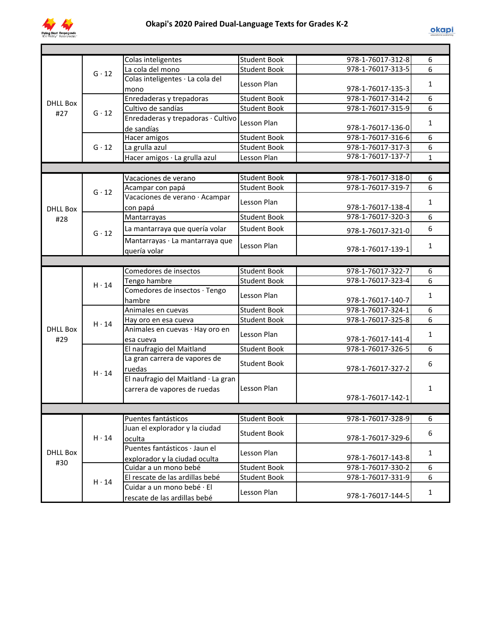

|                                        |                          | Colas inteligentes                  | <b>Student Book</b> | 978-1-76017-312-8 | 6            |
|----------------------------------------|--------------------------|-------------------------------------|---------------------|-------------------|--------------|
|                                        | $G \cdot 12$             | La cola del mono                    | <b>Student Book</b> | 978-1-76017-313-5 | 6            |
|                                        |                          | Colas inteligentes · La cola del    | Lesson Plan         |                   | $\mathbf{1}$ |
| <b>DHLL Box</b><br>$G \cdot 12$<br>#27 |                          | mono                                |                     | 978-1-76017-135-3 |              |
|                                        | Enredaderas y trepadoras | <b>Student Book</b>                 | 978-1-76017-314-2   | 6                 |              |
|                                        |                          | Cultivo de sandías                  | <b>Student Book</b> | 978-1-76017-315-9 | 6            |
|                                        |                          | Enredaderas y trepadoras · Cultivo  | Lesson Plan         |                   | $\mathbf{1}$ |
|                                        |                          | de sandías                          |                     | 978-1-76017-136-0 |              |
|                                        |                          | Hacer amigos                        | <b>Student Book</b> | 978-1-76017-316-6 | 6            |
|                                        | $G \cdot 12$             | La grulla azul                      | <b>Student Book</b> | 978-1-76017-317-3 | 6            |
|                                        |                          | Hacer amigos · La grulla azul       | Lesson Plan         | 978-1-76017-137-7 | $\mathbf{1}$ |
|                                        |                          |                                     |                     |                   |              |
|                                        |                          | Vacaciones de verano                | <b>Student Book</b> | 978-1-76017-318-0 | 6            |
|                                        | $G \cdot 12$             | Acampar con papá                    | <b>Student Book</b> | 978-1-76017-319-7 | 6            |
|                                        |                          | Vacaciones de verano · Acampar      | Lesson Plan         |                   | $\mathbf{1}$ |
| DHII Box                               |                          | con papá                            |                     | 978-1-76017-138-4 |              |
| #28                                    |                          | Mantarrayas                         | <b>Student Book</b> | 978-1-76017-320-3 | 6            |
|                                        | $G \cdot 12$             | La mantarraya que quería volar      | <b>Student Book</b> | 978-1-76017-321-0 | 6            |
|                                        |                          | Mantarrayas · La mantarraya que     |                     |                   |              |
|                                        |                          | quería volar                        | Lesson Plan         | 978-1-76017-139-1 | 1            |
|                                        |                          |                                     |                     |                   |              |
|                                        |                          | Comedores de insectos               | <b>Student Book</b> | 978-1-76017-322-7 | 6            |
|                                        | $H \cdot 14$             | Tengo hambre                        | <b>Student Book</b> | 978-1-76017-323-4 | 6            |
|                                        |                          | Comedores de insectos · Tengo       |                     |                   |              |
|                                        |                          | hambre                              | Lesson Plan         | 978-1-76017-140-7 | $\mathbf{1}$ |
|                                        |                          | Animales en cuevas                  | <b>Student Book</b> | 978-1-76017-324-1 | 6            |
|                                        | $H \cdot 14$             | Hay oro en esa cueva                | <b>Student Book</b> | 978-1-76017-325-8 | 6            |
| <b>DHLL Box</b>                        |                          | Animales en cuevas · Hay oro en     | Lesson Plan         |                   | $\mathbf{1}$ |
| #29                                    |                          | esa cueva                           |                     | 978-1-76017-141-4 |              |
|                                        |                          | El naufragio del Maitland           | <b>Student Book</b> | 978-1-76017-326-5 | 6            |
|                                        |                          | La gran carrera de vapores de       | <b>Student Book</b> |                   | 6            |
|                                        | $H \cdot 14$             | ruedas                              |                     | 978-1-76017-327-2 |              |
|                                        |                          | El naufragio del Maitland · La gran |                     |                   |              |
|                                        |                          | carrera de vapores de ruedas        | Lesson Plan         |                   | $\mathbf{1}$ |
|                                        |                          |                                     |                     | 978-1-76017-142-1 |              |
|                                        |                          |                                     |                     |                   |              |
|                                        |                          | Puentes fantásticos                 | <b>Student Book</b> | 978-1-76017-328-9 | 6            |
|                                        |                          | Juan el explorador y la ciudad      | <b>Student Book</b> |                   | 6            |
|                                        | $H \cdot 14$             | oculta                              |                     | 978-1-76017-329-6 |              |
| <b>DHLL Box</b>                        |                          | Puentes fantásticos · Jaun el       | Lesson Plan         |                   | $\mathbf{1}$ |
| #30                                    |                          | explorador y la ciudad oculta       |                     | 978-1-76017-143-8 |              |
|                                        |                          | Cuidar a un mono bebé               | <b>Student Book</b> | 978-1-76017-330-2 | 6            |
|                                        | $H \cdot 14$             | El rescate de las ardillas bebé     | <b>Student Book</b> | 978-1-76017-331-9 | 6            |
|                                        |                          | Cuidar a un mono bebé · El          | Lesson Plan         |                   | $\mathbf{1}$ |
|                                        |                          | rescate de las ardillas bebé        |                     | 978-1-76017-144-5 |              |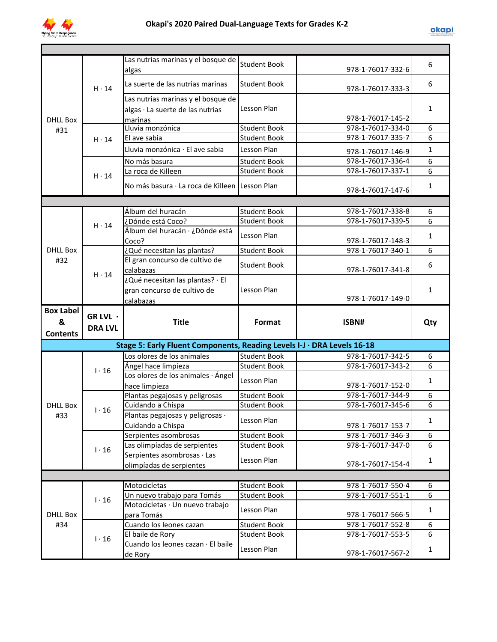

| <b>Student Book</b><br>6<br>978-1-76017-332-6<br>algas<br>La suerte de las nutrias marinas<br>6<br><b>Student Book</b><br>$H \cdot 14$<br>978-1-76017-333-3<br>Las nutrias marinas y el bosque de<br>Lesson Plan<br>$\mathbf{1}$<br>algas · La suerte de las nutrias<br>978-1-76017-145-2<br><b>DHLL Box</b><br>marinas<br>Lluvia monzónica<br>Student Book<br>978-1-76017-334-0<br>6<br>#31<br>6<br>El ave sabia<br>Student Book<br>978-1-76017-335-7<br>$H \cdot 14$<br>$\mathbf{1}$<br>Lluvia monzónica · El ave sabia<br>Lesson Plan<br>978-1-76017-146-9<br>6<br>978-1-76017-336-4<br>No más basura<br><b>Student Book</b><br>6<br>La roca de Killeen<br>978-1-76017-337-1<br><b>Student Book</b><br>$H \cdot 14$<br>No más basura · La roca de Killeen Lesson Plan<br>$\mathbf{1}$<br>978-1-76017-147-6<br>Álbum del huracán<br><b>Student Book</b><br>978-1-76017-338-8<br>6<br>¿Dónde está Coco?<br><b>Student Book</b><br>6<br>978-1-76017-339-5<br>$H \cdot 14$<br>Álbum del huracán · ¿Dónde está<br>Lesson Plan<br>1<br>978-1-76017-148-3<br>Coco?<br><b>DHLL Box</b><br>¿Qué necesitan las plantas?<br><b>Student Book</b><br>978-1-76017-340-1<br>6<br>El gran concurso de cultivo de<br>#32<br><b>Student Book</b><br>6<br>978-1-76017-341-8<br>calabazas<br>$H \cdot 14$<br>¿Qué necesitan las plantas? · El<br>Lesson Plan<br>$\mathbf{1}$<br>gran concurso de cultivo de<br>978-1-76017-149-0<br>calabazas<br><b>Box Label</b><br>GR LVL ·<br><b>Title</b><br>Format<br>ISBN#<br>&<br>Qty<br><b>DRA LVL</b><br><b>Contents</b><br>Stage 5: Early Fluent Components, Reading Levels I-J · DRA Levels 16-18<br>Los olores de los animales<br><b>Student Book</b><br>978-1-76017-342-5<br>6<br><b>Student Book</b><br>6<br>Ángel hace limpieza<br>978-1-76017-343-2<br>$1 \cdot 16$<br>Los olores de los animales · Ángel<br>Lesson Plan<br>$\mathbf{1}$<br>978-1-76017-152-0<br>hace limpieza<br>978-1-76017-344-9<br>Plantas pegajosas y peligrosas<br><b>Student Book</b><br>6<br>6<br>978-1-76017-345-6<br><b>DHLL Box</b><br>Cuidando a Chispa<br><b>Student Book</b><br>1.16<br>Plantas pegajosas y peligrosas ·<br>#33<br>Lesson Plan<br>$\mathbf{1}$<br>Cuidando a Chispa<br>978-1-76017-153-7<br>978-1-76017-346-3<br>6<br>Serpientes asombrosas<br><b>Student Book</b><br>6<br>978-1-76017-347-0<br>Las olimpíadas de serpientes<br><b>Student Book</b><br>$1 \cdot 16$<br>Serpientes asombrosas · Las<br>Lesson Plan<br>$\mathbf{1}$<br>978-1-76017-154-4<br>olimpíadas de serpientes<br>Motocicletas<br>978-1-76017-550-4<br><b>Student Book</b><br>6<br>$\overline{6}$<br>Un nuevo trabajo para Tomás<br><b>Student Book</b><br>978-1-76017-551-1<br>$1 \cdot 16$<br>Motocicletas · Un nuevo trabajo<br>Lesson Plan<br>$\mathbf{1}$<br><b>DHLL Box</b><br>978-1-76017-566-5<br>para Tomás<br>978-1-76017-552-8<br>6<br>#34<br>Cuando los leones cazan<br><b>Student Book</b><br>6<br>978-1-76017-553-5<br><b>Student Book</b><br>El baile de Rory<br>$1 \cdot 16$<br>Cuando los leones cazan · El baile<br>Lesson Plan<br>$\mathbf{1}$ |  |                                    |  |  |
|--------------------------------------------------------------------------------------------------------------------------------------------------------------------------------------------------------------------------------------------------------------------------------------------------------------------------------------------------------------------------------------------------------------------------------------------------------------------------------------------------------------------------------------------------------------------------------------------------------------------------------------------------------------------------------------------------------------------------------------------------------------------------------------------------------------------------------------------------------------------------------------------------------------------------------------------------------------------------------------------------------------------------------------------------------------------------------------------------------------------------------------------------------------------------------------------------------------------------------------------------------------------------------------------------------------------------------------------------------------------------------------------------------------------------------------------------------------------------------------------------------------------------------------------------------------------------------------------------------------------------------------------------------------------------------------------------------------------------------------------------------------------------------------------------------------------------------------------------------------------------------------------------------------------------------------------------------------------------------------------------------------------------------------------------------------------------------------------------------------------------------------------------------------------------------------------------------------------------------------------------------------------------------------------------------------------------------------------------------------------------------------------------------------------------------------------------------------------------------------------------------------------------------------------------------------------------------------------------------------------------------------------------------------------------------------------------------------------------------------------------------------------------------------------------------------------------------------------------------------------------------------------------------------------------------------------------------------------------------------------------------------------------------------------------------------------|--|------------------------------------|--|--|
|                                                                                                                                                                                                                                                                                                                                                                                                                                                                                                                                                                                                                                                                                                                                                                                                                                                                                                                                                                                                                                                                                                                                                                                                                                                                                                                                                                                                                                                                                                                                                                                                                                                                                                                                                                                                                                                                                                                                                                                                                                                                                                                                                                                                                                                                                                                                                                                                                                                                                                                                                                                                                                                                                                                                                                                                                                                                                                                                                                                                                                                                    |  | Las nutrias marinas y el bosque de |  |  |
|                                                                                                                                                                                                                                                                                                                                                                                                                                                                                                                                                                                                                                                                                                                                                                                                                                                                                                                                                                                                                                                                                                                                                                                                                                                                                                                                                                                                                                                                                                                                                                                                                                                                                                                                                                                                                                                                                                                                                                                                                                                                                                                                                                                                                                                                                                                                                                                                                                                                                                                                                                                                                                                                                                                                                                                                                                                                                                                                                                                                                                                                    |  |                                    |  |  |
|                                                                                                                                                                                                                                                                                                                                                                                                                                                                                                                                                                                                                                                                                                                                                                                                                                                                                                                                                                                                                                                                                                                                                                                                                                                                                                                                                                                                                                                                                                                                                                                                                                                                                                                                                                                                                                                                                                                                                                                                                                                                                                                                                                                                                                                                                                                                                                                                                                                                                                                                                                                                                                                                                                                                                                                                                                                                                                                                                                                                                                                                    |  |                                    |  |  |
|                                                                                                                                                                                                                                                                                                                                                                                                                                                                                                                                                                                                                                                                                                                                                                                                                                                                                                                                                                                                                                                                                                                                                                                                                                                                                                                                                                                                                                                                                                                                                                                                                                                                                                                                                                                                                                                                                                                                                                                                                                                                                                                                                                                                                                                                                                                                                                                                                                                                                                                                                                                                                                                                                                                                                                                                                                                                                                                                                                                                                                                                    |  |                                    |  |  |
|                                                                                                                                                                                                                                                                                                                                                                                                                                                                                                                                                                                                                                                                                                                                                                                                                                                                                                                                                                                                                                                                                                                                                                                                                                                                                                                                                                                                                                                                                                                                                                                                                                                                                                                                                                                                                                                                                                                                                                                                                                                                                                                                                                                                                                                                                                                                                                                                                                                                                                                                                                                                                                                                                                                                                                                                                                                                                                                                                                                                                                                                    |  |                                    |  |  |
|                                                                                                                                                                                                                                                                                                                                                                                                                                                                                                                                                                                                                                                                                                                                                                                                                                                                                                                                                                                                                                                                                                                                                                                                                                                                                                                                                                                                                                                                                                                                                                                                                                                                                                                                                                                                                                                                                                                                                                                                                                                                                                                                                                                                                                                                                                                                                                                                                                                                                                                                                                                                                                                                                                                                                                                                                                                                                                                                                                                                                                                                    |  |                                    |  |  |
|                                                                                                                                                                                                                                                                                                                                                                                                                                                                                                                                                                                                                                                                                                                                                                                                                                                                                                                                                                                                                                                                                                                                                                                                                                                                                                                                                                                                                                                                                                                                                                                                                                                                                                                                                                                                                                                                                                                                                                                                                                                                                                                                                                                                                                                                                                                                                                                                                                                                                                                                                                                                                                                                                                                                                                                                                                                                                                                                                                                                                                                                    |  |                                    |  |  |
|                                                                                                                                                                                                                                                                                                                                                                                                                                                                                                                                                                                                                                                                                                                                                                                                                                                                                                                                                                                                                                                                                                                                                                                                                                                                                                                                                                                                                                                                                                                                                                                                                                                                                                                                                                                                                                                                                                                                                                                                                                                                                                                                                                                                                                                                                                                                                                                                                                                                                                                                                                                                                                                                                                                                                                                                                                                                                                                                                                                                                                                                    |  |                                    |  |  |
|                                                                                                                                                                                                                                                                                                                                                                                                                                                                                                                                                                                                                                                                                                                                                                                                                                                                                                                                                                                                                                                                                                                                                                                                                                                                                                                                                                                                                                                                                                                                                                                                                                                                                                                                                                                                                                                                                                                                                                                                                                                                                                                                                                                                                                                                                                                                                                                                                                                                                                                                                                                                                                                                                                                                                                                                                                                                                                                                                                                                                                                                    |  |                                    |  |  |
|                                                                                                                                                                                                                                                                                                                                                                                                                                                                                                                                                                                                                                                                                                                                                                                                                                                                                                                                                                                                                                                                                                                                                                                                                                                                                                                                                                                                                                                                                                                                                                                                                                                                                                                                                                                                                                                                                                                                                                                                                                                                                                                                                                                                                                                                                                                                                                                                                                                                                                                                                                                                                                                                                                                                                                                                                                                                                                                                                                                                                                                                    |  |                                    |  |  |
|                                                                                                                                                                                                                                                                                                                                                                                                                                                                                                                                                                                                                                                                                                                                                                                                                                                                                                                                                                                                                                                                                                                                                                                                                                                                                                                                                                                                                                                                                                                                                                                                                                                                                                                                                                                                                                                                                                                                                                                                                                                                                                                                                                                                                                                                                                                                                                                                                                                                                                                                                                                                                                                                                                                                                                                                                                                                                                                                                                                                                                                                    |  |                                    |  |  |
|                                                                                                                                                                                                                                                                                                                                                                                                                                                                                                                                                                                                                                                                                                                                                                                                                                                                                                                                                                                                                                                                                                                                                                                                                                                                                                                                                                                                                                                                                                                                                                                                                                                                                                                                                                                                                                                                                                                                                                                                                                                                                                                                                                                                                                                                                                                                                                                                                                                                                                                                                                                                                                                                                                                                                                                                                                                                                                                                                                                                                                                                    |  |                                    |  |  |
|                                                                                                                                                                                                                                                                                                                                                                                                                                                                                                                                                                                                                                                                                                                                                                                                                                                                                                                                                                                                                                                                                                                                                                                                                                                                                                                                                                                                                                                                                                                                                                                                                                                                                                                                                                                                                                                                                                                                                                                                                                                                                                                                                                                                                                                                                                                                                                                                                                                                                                                                                                                                                                                                                                                                                                                                                                                                                                                                                                                                                                                                    |  |                                    |  |  |
|                                                                                                                                                                                                                                                                                                                                                                                                                                                                                                                                                                                                                                                                                                                                                                                                                                                                                                                                                                                                                                                                                                                                                                                                                                                                                                                                                                                                                                                                                                                                                                                                                                                                                                                                                                                                                                                                                                                                                                                                                                                                                                                                                                                                                                                                                                                                                                                                                                                                                                                                                                                                                                                                                                                                                                                                                                                                                                                                                                                                                                                                    |  |                                    |  |  |
|                                                                                                                                                                                                                                                                                                                                                                                                                                                                                                                                                                                                                                                                                                                                                                                                                                                                                                                                                                                                                                                                                                                                                                                                                                                                                                                                                                                                                                                                                                                                                                                                                                                                                                                                                                                                                                                                                                                                                                                                                                                                                                                                                                                                                                                                                                                                                                                                                                                                                                                                                                                                                                                                                                                                                                                                                                                                                                                                                                                                                                                                    |  |                                    |  |  |
|                                                                                                                                                                                                                                                                                                                                                                                                                                                                                                                                                                                                                                                                                                                                                                                                                                                                                                                                                                                                                                                                                                                                                                                                                                                                                                                                                                                                                                                                                                                                                                                                                                                                                                                                                                                                                                                                                                                                                                                                                                                                                                                                                                                                                                                                                                                                                                                                                                                                                                                                                                                                                                                                                                                                                                                                                                                                                                                                                                                                                                                                    |  |                                    |  |  |
|                                                                                                                                                                                                                                                                                                                                                                                                                                                                                                                                                                                                                                                                                                                                                                                                                                                                                                                                                                                                                                                                                                                                                                                                                                                                                                                                                                                                                                                                                                                                                                                                                                                                                                                                                                                                                                                                                                                                                                                                                                                                                                                                                                                                                                                                                                                                                                                                                                                                                                                                                                                                                                                                                                                                                                                                                                                                                                                                                                                                                                                                    |  |                                    |  |  |
|                                                                                                                                                                                                                                                                                                                                                                                                                                                                                                                                                                                                                                                                                                                                                                                                                                                                                                                                                                                                                                                                                                                                                                                                                                                                                                                                                                                                                                                                                                                                                                                                                                                                                                                                                                                                                                                                                                                                                                                                                                                                                                                                                                                                                                                                                                                                                                                                                                                                                                                                                                                                                                                                                                                                                                                                                                                                                                                                                                                                                                                                    |  |                                    |  |  |
|                                                                                                                                                                                                                                                                                                                                                                                                                                                                                                                                                                                                                                                                                                                                                                                                                                                                                                                                                                                                                                                                                                                                                                                                                                                                                                                                                                                                                                                                                                                                                                                                                                                                                                                                                                                                                                                                                                                                                                                                                                                                                                                                                                                                                                                                                                                                                                                                                                                                                                                                                                                                                                                                                                                                                                                                                                                                                                                                                                                                                                                                    |  |                                    |  |  |
|                                                                                                                                                                                                                                                                                                                                                                                                                                                                                                                                                                                                                                                                                                                                                                                                                                                                                                                                                                                                                                                                                                                                                                                                                                                                                                                                                                                                                                                                                                                                                                                                                                                                                                                                                                                                                                                                                                                                                                                                                                                                                                                                                                                                                                                                                                                                                                                                                                                                                                                                                                                                                                                                                                                                                                                                                                                                                                                                                                                                                                                                    |  |                                    |  |  |
|                                                                                                                                                                                                                                                                                                                                                                                                                                                                                                                                                                                                                                                                                                                                                                                                                                                                                                                                                                                                                                                                                                                                                                                                                                                                                                                                                                                                                                                                                                                                                                                                                                                                                                                                                                                                                                                                                                                                                                                                                                                                                                                                                                                                                                                                                                                                                                                                                                                                                                                                                                                                                                                                                                                                                                                                                                                                                                                                                                                                                                                                    |  |                                    |  |  |
|                                                                                                                                                                                                                                                                                                                                                                                                                                                                                                                                                                                                                                                                                                                                                                                                                                                                                                                                                                                                                                                                                                                                                                                                                                                                                                                                                                                                                                                                                                                                                                                                                                                                                                                                                                                                                                                                                                                                                                                                                                                                                                                                                                                                                                                                                                                                                                                                                                                                                                                                                                                                                                                                                                                                                                                                                                                                                                                                                                                                                                                                    |  |                                    |  |  |
|                                                                                                                                                                                                                                                                                                                                                                                                                                                                                                                                                                                                                                                                                                                                                                                                                                                                                                                                                                                                                                                                                                                                                                                                                                                                                                                                                                                                                                                                                                                                                                                                                                                                                                                                                                                                                                                                                                                                                                                                                                                                                                                                                                                                                                                                                                                                                                                                                                                                                                                                                                                                                                                                                                                                                                                                                                                                                                                                                                                                                                                                    |  |                                    |  |  |
|                                                                                                                                                                                                                                                                                                                                                                                                                                                                                                                                                                                                                                                                                                                                                                                                                                                                                                                                                                                                                                                                                                                                                                                                                                                                                                                                                                                                                                                                                                                                                                                                                                                                                                                                                                                                                                                                                                                                                                                                                                                                                                                                                                                                                                                                                                                                                                                                                                                                                                                                                                                                                                                                                                                                                                                                                                                                                                                                                                                                                                                                    |  |                                    |  |  |
|                                                                                                                                                                                                                                                                                                                                                                                                                                                                                                                                                                                                                                                                                                                                                                                                                                                                                                                                                                                                                                                                                                                                                                                                                                                                                                                                                                                                                                                                                                                                                                                                                                                                                                                                                                                                                                                                                                                                                                                                                                                                                                                                                                                                                                                                                                                                                                                                                                                                                                                                                                                                                                                                                                                                                                                                                                                                                                                                                                                                                                                                    |  |                                    |  |  |
|                                                                                                                                                                                                                                                                                                                                                                                                                                                                                                                                                                                                                                                                                                                                                                                                                                                                                                                                                                                                                                                                                                                                                                                                                                                                                                                                                                                                                                                                                                                                                                                                                                                                                                                                                                                                                                                                                                                                                                                                                                                                                                                                                                                                                                                                                                                                                                                                                                                                                                                                                                                                                                                                                                                                                                                                                                                                                                                                                                                                                                                                    |  |                                    |  |  |
|                                                                                                                                                                                                                                                                                                                                                                                                                                                                                                                                                                                                                                                                                                                                                                                                                                                                                                                                                                                                                                                                                                                                                                                                                                                                                                                                                                                                                                                                                                                                                                                                                                                                                                                                                                                                                                                                                                                                                                                                                                                                                                                                                                                                                                                                                                                                                                                                                                                                                                                                                                                                                                                                                                                                                                                                                                                                                                                                                                                                                                                                    |  |                                    |  |  |
|                                                                                                                                                                                                                                                                                                                                                                                                                                                                                                                                                                                                                                                                                                                                                                                                                                                                                                                                                                                                                                                                                                                                                                                                                                                                                                                                                                                                                                                                                                                                                                                                                                                                                                                                                                                                                                                                                                                                                                                                                                                                                                                                                                                                                                                                                                                                                                                                                                                                                                                                                                                                                                                                                                                                                                                                                                                                                                                                                                                                                                                                    |  |                                    |  |  |
|                                                                                                                                                                                                                                                                                                                                                                                                                                                                                                                                                                                                                                                                                                                                                                                                                                                                                                                                                                                                                                                                                                                                                                                                                                                                                                                                                                                                                                                                                                                                                                                                                                                                                                                                                                                                                                                                                                                                                                                                                                                                                                                                                                                                                                                                                                                                                                                                                                                                                                                                                                                                                                                                                                                                                                                                                                                                                                                                                                                                                                                                    |  |                                    |  |  |
|                                                                                                                                                                                                                                                                                                                                                                                                                                                                                                                                                                                                                                                                                                                                                                                                                                                                                                                                                                                                                                                                                                                                                                                                                                                                                                                                                                                                                                                                                                                                                                                                                                                                                                                                                                                                                                                                                                                                                                                                                                                                                                                                                                                                                                                                                                                                                                                                                                                                                                                                                                                                                                                                                                                                                                                                                                                                                                                                                                                                                                                                    |  |                                    |  |  |
|                                                                                                                                                                                                                                                                                                                                                                                                                                                                                                                                                                                                                                                                                                                                                                                                                                                                                                                                                                                                                                                                                                                                                                                                                                                                                                                                                                                                                                                                                                                                                                                                                                                                                                                                                                                                                                                                                                                                                                                                                                                                                                                                                                                                                                                                                                                                                                                                                                                                                                                                                                                                                                                                                                                                                                                                                                                                                                                                                                                                                                                                    |  |                                    |  |  |
|                                                                                                                                                                                                                                                                                                                                                                                                                                                                                                                                                                                                                                                                                                                                                                                                                                                                                                                                                                                                                                                                                                                                                                                                                                                                                                                                                                                                                                                                                                                                                                                                                                                                                                                                                                                                                                                                                                                                                                                                                                                                                                                                                                                                                                                                                                                                                                                                                                                                                                                                                                                                                                                                                                                                                                                                                                                                                                                                                                                                                                                                    |  |                                    |  |  |
|                                                                                                                                                                                                                                                                                                                                                                                                                                                                                                                                                                                                                                                                                                                                                                                                                                                                                                                                                                                                                                                                                                                                                                                                                                                                                                                                                                                                                                                                                                                                                                                                                                                                                                                                                                                                                                                                                                                                                                                                                                                                                                                                                                                                                                                                                                                                                                                                                                                                                                                                                                                                                                                                                                                                                                                                                                                                                                                                                                                                                                                                    |  |                                    |  |  |
|                                                                                                                                                                                                                                                                                                                                                                                                                                                                                                                                                                                                                                                                                                                                                                                                                                                                                                                                                                                                                                                                                                                                                                                                                                                                                                                                                                                                                                                                                                                                                                                                                                                                                                                                                                                                                                                                                                                                                                                                                                                                                                                                                                                                                                                                                                                                                                                                                                                                                                                                                                                                                                                                                                                                                                                                                                                                                                                                                                                                                                                                    |  |                                    |  |  |
|                                                                                                                                                                                                                                                                                                                                                                                                                                                                                                                                                                                                                                                                                                                                                                                                                                                                                                                                                                                                                                                                                                                                                                                                                                                                                                                                                                                                                                                                                                                                                                                                                                                                                                                                                                                                                                                                                                                                                                                                                                                                                                                                                                                                                                                                                                                                                                                                                                                                                                                                                                                                                                                                                                                                                                                                                                                                                                                                                                                                                                                                    |  |                                    |  |  |
|                                                                                                                                                                                                                                                                                                                                                                                                                                                                                                                                                                                                                                                                                                                                                                                                                                                                                                                                                                                                                                                                                                                                                                                                                                                                                                                                                                                                                                                                                                                                                                                                                                                                                                                                                                                                                                                                                                                                                                                                                                                                                                                                                                                                                                                                                                                                                                                                                                                                                                                                                                                                                                                                                                                                                                                                                                                                                                                                                                                                                                                                    |  |                                    |  |  |
|                                                                                                                                                                                                                                                                                                                                                                                                                                                                                                                                                                                                                                                                                                                                                                                                                                                                                                                                                                                                                                                                                                                                                                                                                                                                                                                                                                                                                                                                                                                                                                                                                                                                                                                                                                                                                                                                                                                                                                                                                                                                                                                                                                                                                                                                                                                                                                                                                                                                                                                                                                                                                                                                                                                                                                                                                                                                                                                                                                                                                                                                    |  |                                    |  |  |
|                                                                                                                                                                                                                                                                                                                                                                                                                                                                                                                                                                                                                                                                                                                                                                                                                                                                                                                                                                                                                                                                                                                                                                                                                                                                                                                                                                                                                                                                                                                                                                                                                                                                                                                                                                                                                                                                                                                                                                                                                                                                                                                                                                                                                                                                                                                                                                                                                                                                                                                                                                                                                                                                                                                                                                                                                                                                                                                                                                                                                                                                    |  |                                    |  |  |
|                                                                                                                                                                                                                                                                                                                                                                                                                                                                                                                                                                                                                                                                                                                                                                                                                                                                                                                                                                                                                                                                                                                                                                                                                                                                                                                                                                                                                                                                                                                                                                                                                                                                                                                                                                                                                                                                                                                                                                                                                                                                                                                                                                                                                                                                                                                                                                                                                                                                                                                                                                                                                                                                                                                                                                                                                                                                                                                                                                                                                                                                    |  |                                    |  |  |
|                                                                                                                                                                                                                                                                                                                                                                                                                                                                                                                                                                                                                                                                                                                                                                                                                                                                                                                                                                                                                                                                                                                                                                                                                                                                                                                                                                                                                                                                                                                                                                                                                                                                                                                                                                                                                                                                                                                                                                                                                                                                                                                                                                                                                                                                                                                                                                                                                                                                                                                                                                                                                                                                                                                                                                                                                                                                                                                                                                                                                                                                    |  |                                    |  |  |
|                                                                                                                                                                                                                                                                                                                                                                                                                                                                                                                                                                                                                                                                                                                                                                                                                                                                                                                                                                                                                                                                                                                                                                                                                                                                                                                                                                                                                                                                                                                                                                                                                                                                                                                                                                                                                                                                                                                                                                                                                                                                                                                                                                                                                                                                                                                                                                                                                                                                                                                                                                                                                                                                                                                                                                                                                                                                                                                                                                                                                                                                    |  |                                    |  |  |
|                                                                                                                                                                                                                                                                                                                                                                                                                                                                                                                                                                                                                                                                                                                                                                                                                                                                                                                                                                                                                                                                                                                                                                                                                                                                                                                                                                                                                                                                                                                                                                                                                                                                                                                                                                                                                                                                                                                                                                                                                                                                                                                                                                                                                                                                                                                                                                                                                                                                                                                                                                                                                                                                                                                                                                                                                                                                                                                                                                                                                                                                    |  |                                    |  |  |
|                                                                                                                                                                                                                                                                                                                                                                                                                                                                                                                                                                                                                                                                                                                                                                                                                                                                                                                                                                                                                                                                                                                                                                                                                                                                                                                                                                                                                                                                                                                                                                                                                                                                                                                                                                                                                                                                                                                                                                                                                                                                                                                                                                                                                                                                                                                                                                                                                                                                                                                                                                                                                                                                                                                                                                                                                                                                                                                                                                                                                                                                    |  |                                    |  |  |
|                                                                                                                                                                                                                                                                                                                                                                                                                                                                                                                                                                                                                                                                                                                                                                                                                                                                                                                                                                                                                                                                                                                                                                                                                                                                                                                                                                                                                                                                                                                                                                                                                                                                                                                                                                                                                                                                                                                                                                                                                                                                                                                                                                                                                                                                                                                                                                                                                                                                                                                                                                                                                                                                                                                                                                                                                                                                                                                                                                                                                                                                    |  |                                    |  |  |
|                                                                                                                                                                                                                                                                                                                                                                                                                                                                                                                                                                                                                                                                                                                                                                                                                                                                                                                                                                                                                                                                                                                                                                                                                                                                                                                                                                                                                                                                                                                                                                                                                                                                                                                                                                                                                                                                                                                                                                                                                                                                                                                                                                                                                                                                                                                                                                                                                                                                                                                                                                                                                                                                                                                                                                                                                                                                                                                                                                                                                                                                    |  |                                    |  |  |
|                                                                                                                                                                                                                                                                                                                                                                                                                                                                                                                                                                                                                                                                                                                                                                                                                                                                                                                                                                                                                                                                                                                                                                                                                                                                                                                                                                                                                                                                                                                                                                                                                                                                                                                                                                                                                                                                                                                                                                                                                                                                                                                                                                                                                                                                                                                                                                                                                                                                                                                                                                                                                                                                                                                                                                                                                                                                                                                                                                                                                                                                    |  |                                    |  |  |
| 978-1-76017-567-2<br>de Rory                                                                                                                                                                                                                                                                                                                                                                                                                                                                                                                                                                                                                                                                                                                                                                                                                                                                                                                                                                                                                                                                                                                                                                                                                                                                                                                                                                                                                                                                                                                                                                                                                                                                                                                                                                                                                                                                                                                                                                                                                                                                                                                                                                                                                                                                                                                                                                                                                                                                                                                                                                                                                                                                                                                                                                                                                                                                                                                                                                                                                                       |  |                                    |  |  |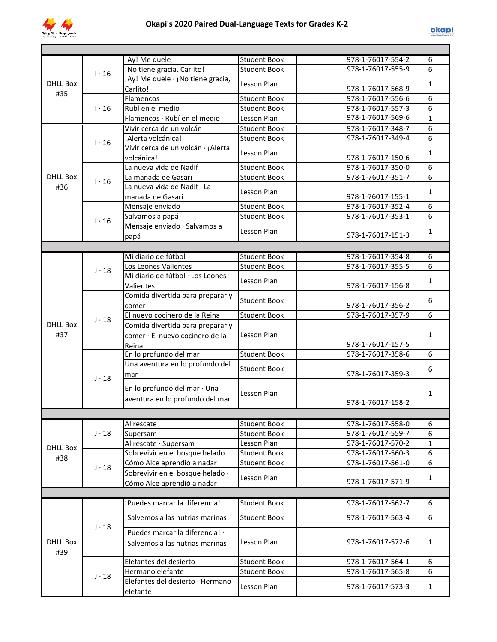

| <b>DHLL Box</b><br>#35 | 1.16         | jAy! Me duele                                      | <b>Student Book</b> | 978-1-76017-554-2 | 6              |  |  |
|------------------------|--------------|----------------------------------------------------|---------------------|-------------------|----------------|--|--|
|                        |              | ¡No tiene gracia, Carlito!                         | <b>Student Book</b> | 978-1-76017-555-9 | 6              |  |  |
|                        |              | jAy! Me duele · jNo tiene gracia,                  |                     |                   |                |  |  |
|                        |              | Carlito!                                           | Lesson Plan         | 978-1-76017-568-9 | $\mathbf{1}$   |  |  |
|                        | 1.16         | Flamencos                                          | <b>Student Book</b> | 978-1-76017-556-6 | 6              |  |  |
|                        |              | Rubí en el medio                                   | <b>Student Book</b> | 978-1-76017-557-3 | 6              |  |  |
|                        |              | Flamencos · Rubí en el medio                       | Lesson Plan         | 978-1-76017-569-6 | $\mathbf{1}$   |  |  |
|                        |              | Vivir cerca de un volcán                           | <b>Student Book</b> | 978-1-76017-348-7 | 6              |  |  |
|                        |              | ¡Alerta volcánica!                                 | <b>Student Book</b> | 978-1-76017-349-4 | 6              |  |  |
|                        | $1 \cdot 16$ | Vivir cerca de un volcán · ¡Alerta                 |                     |                   |                |  |  |
|                        |              |                                                    | Lesson Plan         | 978-1-76017-150-6 | $\mathbf{1}$   |  |  |
|                        |              | volcánica!<br>La nueva vida de Nadif               | <b>Student Book</b> | 978-1-76017-350-0 |                |  |  |
| <b>DHLL Box</b>        |              |                                                    |                     | 978-1-76017-351-7 | 6<br>6         |  |  |
|                        | $1 \cdot 16$ | La manada de Gasari<br>La nueva vida de Nadif · La | <b>Student Book</b> |                   |                |  |  |
| #36                    |              |                                                    | Lesson Plan         |                   | $\mathbf{1}$   |  |  |
|                        |              | manada de Gasari                                   |                     | 978-1-76017-155-1 |                |  |  |
|                        |              | Mensaje enviado                                    | <b>Student Book</b> | 978-1-76017-352-4 | 6              |  |  |
|                        | $1 \cdot 16$ | Salvamos a papá                                    | <b>Student Book</b> | 978-1-76017-353-1 | 6              |  |  |
|                        |              | Mensaje enviado · Salvamos a                       | Lesson Plan         |                   | $\mathbf{1}$   |  |  |
|                        |              | papá                                               |                     | 978-1-76017-151-3 |                |  |  |
|                        |              |                                                    |                     |                   |                |  |  |
|                        |              | Mi diario de fútbol                                | <b>Student Book</b> | 978-1-76017-354-8 | 6              |  |  |
|                        | $J \cdot 18$ | Los Leones Valientes                               | <b>Student Book</b> | 978-1-76017-355-5 | 6              |  |  |
|                        |              | Mi diario de fútbol · Los Leones                   |                     |                   |                |  |  |
|                        |              | Valientes                                          | Lesson Plan         | 978-1-76017-156-8 | $\mathbf{1}$   |  |  |
|                        |              | Comida divertida para preparar y                   |                     |                   | 6              |  |  |
|                        |              | comer                                              | <b>Student Book</b> | 978-1-76017-356-2 |                |  |  |
|                        | $J \cdot 18$ | El nuevo cocinero de la Reina                      | <b>Student Book</b> | 978-1-76017-357-9 | 6              |  |  |
| <b>DHLL Box</b>        |              | Comida divertida para preparar y                   |                     |                   |                |  |  |
| #37                    |              | comer · El nuevo cocinero de la                    | Lesson Plan         |                   | $\mathbf{1}$   |  |  |
|                        |              | Reina                                              |                     | 978-1-76017-157-5 |                |  |  |
|                        |              | En lo profundo del mar                             | <b>Student Book</b> | 978-1-76017-358-6 | 6              |  |  |
|                        |              | Una aventura en lo profundo del                    |                     |                   |                |  |  |
|                        |              | mar                                                | <b>Student Book</b> | 978-1-76017-359-3 | 6              |  |  |
|                        | $J \cdot 18$ |                                                    |                     |                   | $\mathbf{1}$   |  |  |
|                        |              | En lo profundo del mar · Una                       | Lesson Plan         |                   |                |  |  |
|                        |              | aventura en lo profundo del mar                    |                     | 978-1-76017-158-2 |                |  |  |
|                        |              |                                                    |                     |                   |                |  |  |
|                        |              |                                                    |                     |                   |                |  |  |
|                        | $J \cdot 18$ | Al rescate                                         | <b>Student Book</b> | 978-1-76017-558-0 | 6              |  |  |
|                        |              | Supersam                                           | <b>Student Book</b> | 978-1-76017-559-7 | 6              |  |  |
| <b>DHLL Box</b>        |              | Al rescate · Supersam                              | Lesson Plan         | 978-1-76017-570-2 | $\mathbf{1}$   |  |  |
| #38                    |              | Sobrevivir en el bosque helado                     | <b>Student Book</b> | 978-1-76017-560-3 | 6              |  |  |
|                        | $J \cdot 18$ | Cómo Alce aprendió a nadar                         | <b>Student Book</b> | 978-1-76017-561-0 | $\overline{6}$ |  |  |
|                        |              | Sobrevivir en el bosque helado ·                   | Lesson Plan         |                   | $\mathbf{1}$   |  |  |
|                        |              | Cómo Alce aprendió a nadar                         |                     | 978-1-76017-571-9 |                |  |  |
|                        |              |                                                    |                     |                   |                |  |  |
|                        | $J \cdot 18$ | ¡Puedes marcar la diferencia!                      | <b>Student Book</b> | 978-1-76017-562-7 | 6              |  |  |
| DHLL Box<br>#39        |              | ¡Salvemos a las nutrias marinas!                   | <b>Student Book</b> | 978-1-76017-563-4 | 6              |  |  |
|                        |              |                                                    |                     |                   |                |  |  |
|                        |              | ¡Puedes marcar la diferencia! ·                    |                     |                   |                |  |  |
|                        |              | ¡Salvemos a las nutrias marinas!                   | Lesson Plan         | 978-1-76017-572-6 | $\mathbf{1}$   |  |  |
|                        |              |                                                    |                     |                   |                |  |  |
|                        | $J \cdot 18$ | Elefantes del desierto                             | <b>Student Book</b> | 978-1-76017-564-1 | 6              |  |  |
|                        |              | Hermano elefante                                   | <b>Student Book</b> | 978-1-76017-565-8 | 6              |  |  |
|                        |              | Elefantes del desierto · Hermano                   |                     |                   |                |  |  |
|                        |              | elefante                                           | Lesson Plan         | 978-1-76017-573-3 | $\mathbf{1}$   |  |  |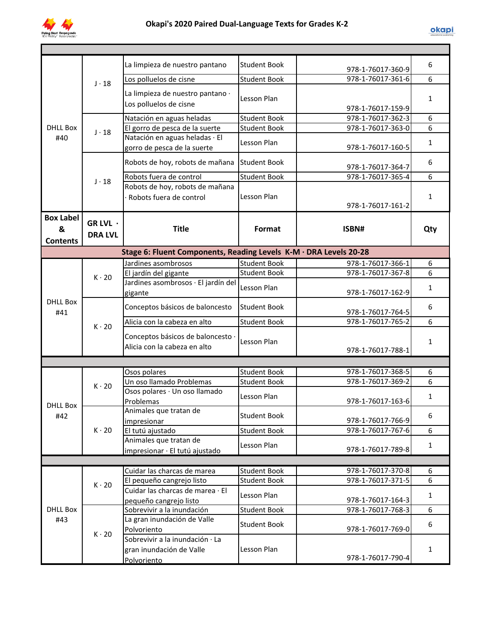

| <b>DHLL Box</b><br>#40                   |                            | La limpieza de nuestro pantano                                             | <b>Student Book</b> | 978-1-76017-360-9 | 6            |  |  |
|------------------------------------------|----------------------------|----------------------------------------------------------------------------|---------------------|-------------------|--------------|--|--|
|                                          | $J \cdot 18$               | Los polluelos de cisne                                                     | <b>Student Book</b> | 978-1-76017-361-6 | 6            |  |  |
|                                          |                            | La limpieza de nuestro pantano ·<br>Los polluelos de cisne                 | Lesson Plan         | 978-1-76017-159-9 | 1            |  |  |
|                                          |                            | Natación en aguas heladas                                                  | <b>Student Book</b> | 978-1-76017-362-3 | 6            |  |  |
|                                          | $J \cdot 18$               | El gorro de pesca de la suerte                                             | <b>Student Book</b> | 978-1-76017-363-0 | 6            |  |  |
|                                          |                            | Natación en aguas heladas · El<br>gorro de pesca de la suerte              | Lesson Plan         | 978-1-76017-160-5 | $\mathbf{1}$ |  |  |
|                                          |                            | Robots de hoy, robots de mañana                                            | <b>Student Book</b> | 978-1-76017-364-7 | 6            |  |  |
|                                          |                            | Robots fuera de control                                                    | <b>Student Book</b> | 978-1-76017-365-4 | 6            |  |  |
|                                          | $J \cdot 18$               | Robots de hoy, robots de mañana<br>Robots fuera de control                 | Lesson Plan         | 978-1-76017-161-2 | $\mathbf{1}$ |  |  |
| <b>Box Label</b><br>&<br><b>Contents</b> | GR LVL ·<br><b>DRA LVL</b> | <b>Title</b>                                                               | Format              | ISBN#             | Qty          |  |  |
|                                          |                            | Stage 6: Fluent Components, Reading Levels K-M · DRA Levels 20-28          |                     |                   |              |  |  |
|                                          |                            | Jardines asombrosos                                                        | <b>Student Book</b> | 978-1-76017-366-1 | 6            |  |  |
|                                          | $K \cdot 20$               | El jardín del gigante                                                      | <b>Student Book</b> | 978-1-76017-367-8 | 6            |  |  |
|                                          |                            | Jardines asombrosos · El jardín del<br>gigante                             | Lesson Plan         | 978-1-76017-162-9 | $\mathbf{1}$ |  |  |
| <b>DHLL Box</b><br>#41                   | $K \cdot 20$               | Conceptos básicos de baloncesto                                            | <b>Student Book</b> | 978-1-76017-764-5 | 6            |  |  |
|                                          |                            | Alicia con la cabeza en alto                                               | <b>Student Book</b> | 978-1-76017-765-2 | 6            |  |  |
|                                          |                            | Conceptos básicos de baloncesto ·<br>Alicia con la cabeza en alto          | Lesson Plan         | 978-1-76017-788-1 | 1            |  |  |
|                                          |                            |                                                                            |                     |                   |              |  |  |
|                                          | $K \cdot 20$               | Osos polares                                                               | <b>Student Book</b> | 978-1-76017-368-5 | 6            |  |  |
|                                          |                            | Un oso llamado Problemas                                                   | <b>Student Book</b> | 978-1-76017-369-2 | 6            |  |  |
| <b>DHLL Box</b>                          |                            | Osos polares · Un oso llamado<br>Problemas                                 | Lesson Plan         | 978-1-76017-163-6 | $\mathbf{1}$ |  |  |
| #42                                      | $K \cdot 20$               | Animales que tratan de<br>impresionar                                      | <b>Student Book</b> | 978-1-76017-766-9 | 6            |  |  |
|                                          |                            | El tutú ajustado                                                           | <b>Student Book</b> | 978-1-76017-767-6 | 6            |  |  |
|                                          |                            | Animales que tratan de<br>impresionar · El tutú ajustado                   | Lesson Plan         | 978-1-76017-789-8 | 1            |  |  |
|                                          |                            |                                                                            |                     |                   |              |  |  |
|                                          |                            | Cuidar las charcas de marea                                                | <b>Student Book</b> | 978-1-76017-370-8 | 6            |  |  |
|                                          | $K \cdot 20$               | El pequeño cangrejo listo                                                  | <b>Student Book</b> | 978-1-76017-371-5 | 6            |  |  |
| <b>DHLL Box</b><br>#43                   |                            | Cuidar las charcas de marea · El<br>pequeño cangrejo listo                 | Lesson Plan         | 978-1-76017-164-3 | $\mathbf{1}$ |  |  |
|                                          | $K \cdot 20$               | Sobrevivir a la inundación                                                 | <b>Student Book</b> | 978-1-76017-768-3 | 6            |  |  |
|                                          |                            | La gran inundación de Valle<br>Polvoriento                                 | <b>Student Book</b> | 978-1-76017-769-0 | 6            |  |  |
|                                          |                            | Sobrevivir a la inundación · La<br>gran inundación de Valle<br>Polvoriento | Lesson Plan         | 978-1-76017-790-4 | $\mathbf{1}$ |  |  |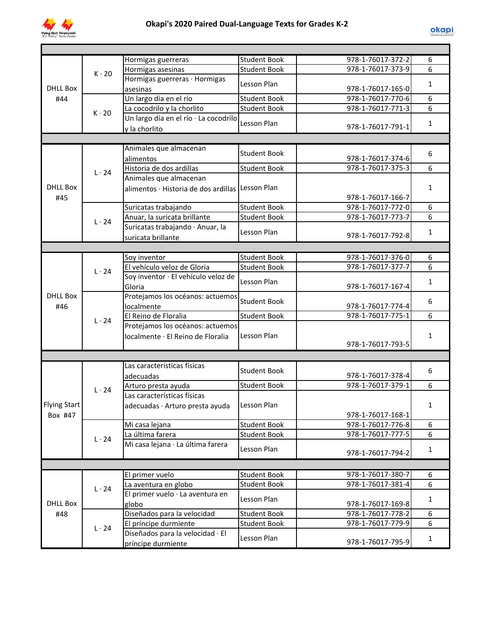

|                     | $K \cdot 20$ | Hormigas guerreras                               | <b>Student Book</b> | 978-1-76017-372-2 | 6              |
|---------------------|--------------|--------------------------------------------------|---------------------|-------------------|----------------|
|                     |              | Hormigas asesinas                                | <b>Student Book</b> | 978-1-76017-373-9 | 6              |
|                     |              | Hormigas guerreras · Hormigas                    | Lesson Plan         |                   | $\mathbf{1}$   |
| DHLL Box            |              | asesinas                                         |                     | 978-1-76017-165-0 |                |
| #44                 |              | Un largo día en el río                           | <b>Student Book</b> | 978-1-76017-770-6 | 6              |
|                     |              | La cocodrilo y la chorlito                       | <b>Student Book</b> | 978-1-76017-771-3 | $\overline{6}$ |
|                     | $K \cdot 20$ | Un largo día en el río · La cocodrilo            |                     |                   |                |
|                     |              | y la chorlito                                    | Lesson Plan         | 978-1-76017-791-1 | $\mathbf{1}$   |
|                     |              |                                                  |                     |                   |                |
|                     |              | Animales que almacenan                           |                     |                   |                |
|                     |              | alimentos                                        | <b>Student Book</b> | 978-1-76017-374-6 | 6              |
|                     |              | Historia de dos ardillas                         | Student Book        | 978-1-76017-375-3 | 6              |
|                     | $L \cdot 24$ | Animales que almacenan                           |                     |                   |                |
| <b>DHLL Box</b>     |              |                                                  |                     |                   | $\mathbf{1}$   |
|                     |              | alimentos · Historia de dos ardillas Lesson Plan |                     |                   |                |
| #45                 |              |                                                  |                     | 978-1-76017-166-7 |                |
|                     |              | Suricatas trabajando                             | <b>Student Book</b> | 978-1-76017-772-0 | 6              |
|                     | $L \cdot 24$ | Anuar, la suricata brillante                     | <b>Student Book</b> | 978-1-76017-773-7 | 6              |
|                     |              | Suricatas trabajando · Anuar, la                 | Lesson Plan         |                   | 1              |
|                     |              | suricata brillante                               |                     | 978-1-76017-792-8 |                |
|                     |              |                                                  |                     |                   |                |
|                     |              | Soy inventor                                     | <b>Student Book</b> | 978-1-76017-376-0 | 6              |
|                     | $L \cdot 24$ | El vehículo veloz de Gloria                      | <b>Student Book</b> | 978-1-76017-377-7 | 6              |
|                     |              | Soy inventor · El vehículo veloz de              | Lesson Plan         |                   | $\mathbf{1}$   |
|                     |              | Gloria                                           |                     | 978-1-76017-167-4 |                |
| <b>DHLL Box</b>     |              | Protejamos los océanos: actuemos                 |                     |                   |                |
| #46                 | $L \cdot 24$ | localmente                                       | <b>Student Book</b> | 978-1-76017-774-4 | 6              |
|                     |              | El Reino de Floralia                             | <b>Student Book</b> | 978-1-76017-775-1 | 6              |
|                     |              | Protejamos los océanos: actuemos                 | Lesson Plan         |                   |                |
|                     |              | localmente · El Reino de Floralia                |                     |                   | $\mathbf{1}$   |
|                     |              |                                                  |                     | 978-1-76017-793-5 |                |
|                     |              |                                                  |                     |                   |                |
|                     |              | Las características físicas                      |                     |                   |                |
|                     | $L \cdot 24$ | adecuadas                                        | <b>Student Book</b> | 978-1-76017-378-4 | 6              |
|                     |              | Arturo presta ayuda                              | <b>Student Book</b> | 978-1-76017-379-1 | 6              |
|                     |              | Las características físicas                      |                     |                   |                |
| <b>Flying Start</b> |              |                                                  | Lesson Plan         |                   | $\mathbf{1}$   |
|                     |              | adecuadas · Arturo presta ayuda                  |                     |                   |                |
| Box #47             |              |                                                  |                     | 978-1-76017-168-1 |                |
|                     | $L \cdot 24$ | Mi casa lejana                                   | <b>Student Book</b> | 978-1-76017-776-8 | 6              |
|                     |              | La última farera                                 | <b>Student Book</b> | 978-1-76017-777-5 | 6              |
|                     |              | Mi casa lejana · La última farera                | Lesson Plan         |                   | $\mathbf{1}$   |
|                     |              |                                                  |                     | 978-1-76017-794-2 |                |
|                     |              |                                                  |                     |                   |                |
|                     | $L \cdot 24$ | El primer vuelo                                  | <b>Student Book</b> | 978-1-76017-380-7 | 6              |
|                     |              | La aventura en globo                             | <b>Student Book</b> | 978-1-76017-381-4 | 6              |
|                     |              | El primer vuelo · La aventura en                 |                     |                   |                |
| DHLL Box            |              | globo                                            | Lesson Plan         | 978-1-76017-169-8 | $\mathbf{1}$   |
| #48                 | $L \cdot 24$ | Diseñados para la velocidad                      | <b>Student Book</b> | 978-1-76017-778-2 | 6              |
|                     |              | El príncipe durmiente                            | <b>Student Book</b> | 978-1-76017-779-9 | 6              |
|                     |              | Diseñados para la velocidad · El                 |                     |                   |                |
|                     |              | príncipe durmiente                               | Lesson Plan         | 978-1-76017-795-9 | $\mathbf{1}$   |